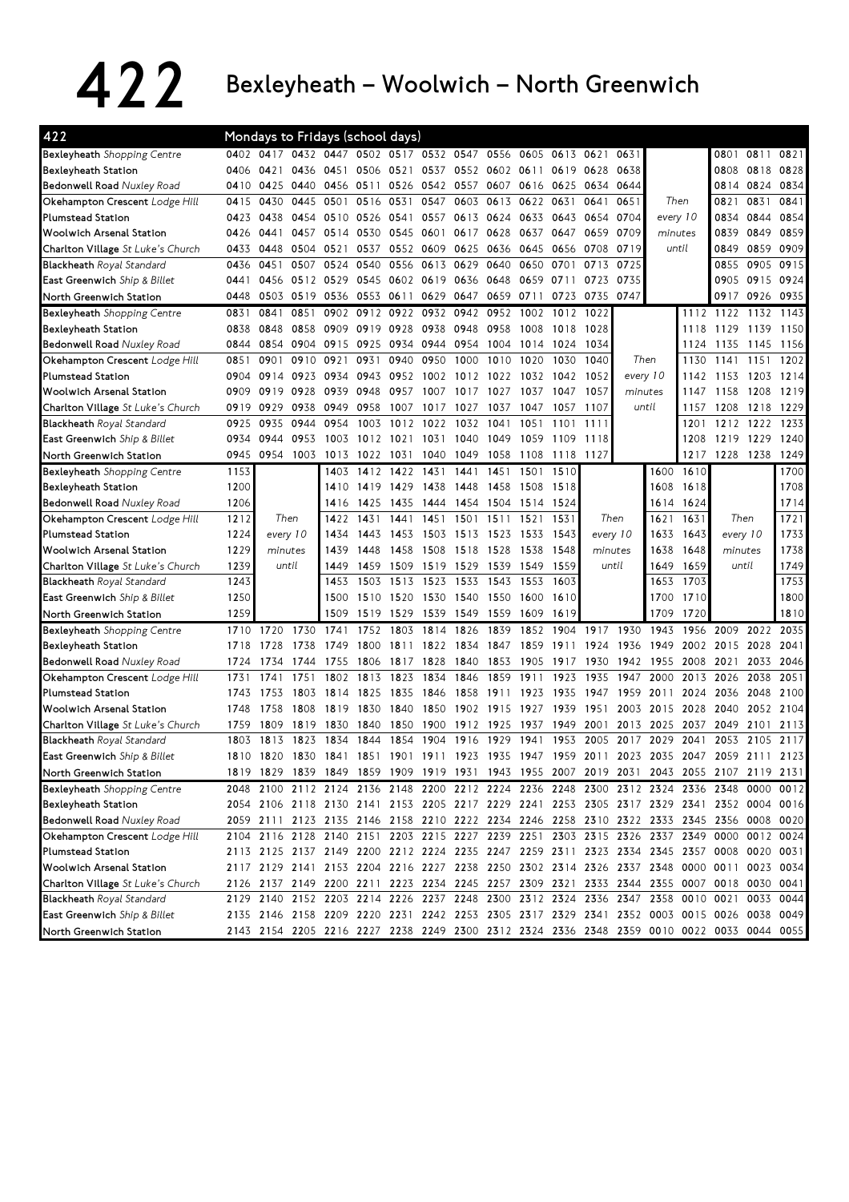## 422 Bexleyheath – Woolwich – North Greenwich

| 0402 0417 0432 0447 0502 0517 0532 0547 0556 0605 0613 0621<br>Bexleyheath Shopping Centre<br>0811 0821<br>0631<br>0801<br>0421<br>0436<br>0506 0521<br>0818<br>0828<br>Bexleyheath Station<br>0406<br>0451<br>0537<br>0552 0602<br>0611<br>0619<br>0628<br>0638<br>0808<br>0834<br>Bedonwell Road Nuxley Road<br>0425<br>0440<br>0456<br>0511<br>0526<br>0542<br>0557<br>0607<br>0616 0625 0634<br>0644<br>0814<br>0824<br>0410<br>0445<br>0547<br>0603 0613<br>0651<br>Then<br>0831<br>0841<br>Okehampton Crescent Lodge Hill<br>0415<br>0430<br>0501<br>0516<br>0531<br>0622<br>0631<br>0641<br>0821<br><b>Plumstead Station</b><br>0613 0624<br>0854<br>0423<br>0438<br>0454<br>0510<br>0526<br>0541<br>0557<br>0633<br>0643<br>0704<br>every 10<br>0834<br>0844<br>0654 |
|------------------------------------------------------------------------------------------------------------------------------------------------------------------------------------------------------------------------------------------------------------------------------------------------------------------------------------------------------------------------------------------------------------------------------------------------------------------------------------------------------------------------------------------------------------------------------------------------------------------------------------------------------------------------------------------------------------------------------------------------------------------------------|
|                                                                                                                                                                                                                                                                                                                                                                                                                                                                                                                                                                                                                                                                                                                                                                              |
|                                                                                                                                                                                                                                                                                                                                                                                                                                                                                                                                                                                                                                                                                                                                                                              |
|                                                                                                                                                                                                                                                                                                                                                                                                                                                                                                                                                                                                                                                                                                                                                                              |
|                                                                                                                                                                                                                                                                                                                                                                                                                                                                                                                                                                                                                                                                                                                                                                              |
|                                                                                                                                                                                                                                                                                                                                                                                                                                                                                                                                                                                                                                                                                                                                                                              |
| 0839<br>0849<br>0859<br><b>Woolwich Arsenal Station</b><br>0426<br>0441<br>0457<br>0514<br>0530<br>0545<br>0601<br>0617 0628<br>0637<br>0647<br>0659<br>0709<br>minutes                                                                                                                                                                                                                                                                                                                                                                                                                                                                                                                                                                                                      |
| 0719<br>0859<br>0909<br>Charlton Village St Luke's Church<br>0433<br>0448<br>0504<br>0521<br>0537<br>0552<br>0609<br>0625 0636<br>0645<br>0656 0708<br>until<br>0849                                                                                                                                                                                                                                                                                                                                                                                                                                                                                                                                                                                                         |
| 0725<br>0905<br>0915<br>0436<br>0451<br>0507<br>0524<br>0540<br>0556<br>0613<br>0629<br>0640<br>0650<br>0701<br>0713<br><b>Blackheath</b> Royal Standard<br>0855                                                                                                                                                                                                                                                                                                                                                                                                                                                                                                                                                                                                             |
| East Greenwich Ship & Billet<br>0512<br>0529<br>0545<br>0602<br>0619<br>0636<br>0648<br>0659<br>0711<br>0723<br>0735<br>0905<br>0915<br>0924<br>0441<br>0456                                                                                                                                                                                                                                                                                                                                                                                                                                                                                                                                                                                                                 |
| 0519<br>0659<br>0723<br>0735<br>0747<br>0917<br>0926<br>0935<br>0448<br>0503<br>0536<br>0553<br>0611<br>0629<br>0647<br>0711<br>North Greenwich Station                                                                                                                                                                                                                                                                                                                                                                                                                                                                                                                                                                                                                      |
| Bexleyheath Shopping Centre<br>0841<br>0851<br>0902<br>0912 0922<br>0932<br>0942 0952<br>1002<br>1012<br>1022<br>1122<br>1132<br>1143<br>0831<br>1112                                                                                                                                                                                                                                                                                                                                                                                                                                                                                                                                                                                                                        |
| 0919<br>0928<br>0938<br>0948<br>0958<br>1028<br>1129<br>1139<br>1150<br>Bexleyheath Station<br>0838<br>0848<br>0858<br>0909<br>1008<br>1018<br>1118                                                                                                                                                                                                                                                                                                                                                                                                                                                                                                                                                                                                                          |
| Bedonwell Road Nuxley Road<br>0854<br>0904<br>0915<br>0925<br>0944<br>0954<br>1004<br>1034<br>1124<br>1145<br>0844<br>0934<br>1014<br>1024<br>1135<br>1156                                                                                                                                                                                                                                                                                                                                                                                                                                                                                                                                                                                                                   |
| 0901<br>0910<br>0921<br>0950<br>1000<br>1010<br>1040<br>1130<br>1151<br>1202<br>Okehampton Crescent Lodge Hill<br>0851<br>0931<br>0940<br>1020<br>1030<br>Then<br>1141                                                                                                                                                                                                                                                                                                                                                                                                                                                                                                                                                                                                       |
| every 10<br><b>Plumstead Station</b><br>0904<br>0923<br>0934<br>0943<br>0952<br>1002<br>1012 1022<br>1052<br>1142<br>1203<br>1214<br>0914<br>1032<br>1042<br>1153                                                                                                                                                                                                                                                                                                                                                                                                                                                                                                                                                                                                            |
| <b>Woolwich Arsenal Station</b><br>0919<br>0928<br>0939<br>0948<br>0957<br>1017<br>1027<br>1037<br>1057<br>minutes<br>1147<br>1158<br>1208<br>1219<br>0909<br>1007<br>1047                                                                                                                                                                                                                                                                                                                                                                                                                                                                                                                                                                                                   |
| until<br>0929<br>0938<br>0949<br>0958<br>1027<br>1107<br>1208<br>1218<br>1229<br>Charlton Village St Luke's Church<br>0919<br>1007<br>1017<br>1037<br>1047<br>1057<br>1157                                                                                                                                                                                                                                                                                                                                                                                                                                                                                                                                                                                                   |
| 0935<br>0944<br>0954<br>1012<br>1022<br>1032<br>1051<br>1212<br>1222<br>1233<br><b>Blackheath</b> Royal Standard<br>0925<br>1003<br>1041<br>1101<br>1111<br>1201                                                                                                                                                                                                                                                                                                                                                                                                                                                                                                                                                                                                             |
| 0953<br>1012<br>1219 1229<br>1240<br>East Greenwich Ship & Billet<br>0934<br>0944<br>1003<br>1021<br>1031<br>1040<br>1049<br>1059<br>1109<br>1118<br>1208                                                                                                                                                                                                                                                                                                                                                                                                                                                                                                                                                                                                                    |
| 1228<br>1238<br>0945<br>1003<br>1022<br>1049<br>1058<br>1118<br>1127<br>1217<br>1249<br>North Greenwich Station<br>0954<br>1013<br>1031<br>1040<br>1108                                                                                                                                                                                                                                                                                                                                                                                                                                                                                                                                                                                                                      |
| 1700<br>Bexleyheath Shopping Centre<br>1153<br>1412<br>1422<br>1431<br>1441<br>1451<br>1501<br>1510<br>1600<br>1610<br>1403                                                                                                                                                                                                                                                                                                                                                                                                                                                                                                                                                                                                                                                  |
| 1608<br>1708<br>1200<br>1419<br>1429<br>1618<br>Bexleyheath Station<br>1438<br>1448<br>1458<br>1508<br>1518<br>1410                                                                                                                                                                                                                                                                                                                                                                                                                                                                                                                                                                                                                                                          |
| 1454 1504<br>1714<br>Bedonwell Road Nuxley Road<br>1206<br>1416<br>1425<br>1435<br>1444<br>1514<br>1524<br>1614<br>1624                                                                                                                                                                                                                                                                                                                                                                                                                                                                                                                                                                                                                                                      |
| Then<br>Okehampton Crescent Lodge Hill<br>1212<br>Then<br>1431<br>1451<br>1501<br>1511<br>1531<br>Then<br>1621<br>1631<br>1721<br>1422<br>1441<br>1521                                                                                                                                                                                                                                                                                                                                                                                                                                                                                                                                                                                                                       |
| 1733<br><b>Plumstead Station</b><br>1224<br>every 10<br>1443<br>1453<br>1513 1523<br>1633<br>1643<br>every 10<br>1503<br>1533<br>1543<br>every 10<br>1434                                                                                                                                                                                                                                                                                                                                                                                                                                                                                                                                                                                                                    |
| 1738<br>1229<br>minutes<br>1518 1528<br>minutes<br>1638<br>1648<br>minutes<br><b>Woolwich Arsenal Station</b><br>1439<br>1448<br>1458<br>1508<br>1538<br>1548                                                                                                                                                                                                                                                                                                                                                                                                                                                                                                                                                                                                                |
| 1749<br>1239<br>until<br>1459<br>1519<br>1529<br>1549<br>until<br>1649<br>1659<br>until<br>Charlton Village St Luke's Church<br>1449<br>1509<br>1539<br>1559                                                                                                                                                                                                                                                                                                                                                                                                                                                                                                                                                                                                                 |
| 1243<br>1753<br>1523<br>1703<br><b>Blackheath Royal Standard</b><br>1503<br>1513<br>1533<br>1543<br>1553<br>1603<br>1653<br>1453                                                                                                                                                                                                                                                                                                                                                                                                                                                                                                                                                                                                                                             |
| 1250<br>1710<br>1800<br>East Greenwich Ship & Billet<br>1500<br>1510<br>1520<br>1530<br>1540<br>1550<br>1600<br>1700<br>1610                                                                                                                                                                                                                                                                                                                                                                                                                                                                                                                                                                                                                                                 |
| 1259<br>1519<br>1539<br>1549<br>1559<br>1609<br>1709<br>1720<br>1810<br>1509<br>1529<br>1619<br>North Greenwich Station                                                                                                                                                                                                                                                                                                                                                                                                                                                                                                                                                                                                                                                      |
| 1730<br>1917<br>2035<br>Bexleyheath Shopping Centre<br>1710<br>1720<br>1741<br>1752<br>1803<br>1814<br>1826<br>1839<br>1852<br>1904<br>1930<br>1943<br>1956<br>2009<br>2022                                                                                                                                                                                                                                                                                                                                                                                                                                                                                                                                                                                                  |
| 1728<br>1738<br>2028<br>2041<br>Bexleyheath Station<br>1718<br>1800<br>1811<br>1822<br>1834<br>1847<br>1859<br>1911<br>1924<br>1936<br>1949<br>2002<br>2015<br>1749                                                                                                                                                                                                                                                                                                                                                                                                                                                                                                                                                                                                          |
| Bedonwell Road Nuxley Road<br>1734<br>1744<br>1755<br>1806<br>1817<br>1828<br>1840<br>1853<br>1905<br>1917<br>1930<br>1942<br>1955<br>2008<br>2021<br>2033<br>2046<br>1724                                                                                                                                                                                                                                                                                                                                                                                                                                                                                                                                                                                                   |
| 1741<br>1751<br>1802<br>1823<br>1834<br>1846<br>1859<br>1911<br>1935<br>1947<br>2013<br>2026<br>2038<br>2051<br>Okehampton Crescent Lodge Hill<br>1731<br>1813<br>1923<br>2000                                                                                                                                                                                                                                                                                                                                                                                                                                                                                                                                                                                               |
| <b>Plumstead Station</b><br>2100<br>1753<br>1803<br>1814<br>1825<br>1835<br>1846<br>1858<br>1911<br>1923<br>1935<br>1947<br>1959<br>2011<br>2024<br>2036<br>2048<br>1743                                                                                                                                                                                                                                                                                                                                                                                                                                                                                                                                                                                                     |
| <b>Woolwich Arsenal Station</b><br>1748<br>1758<br>1808<br>1819<br>1830<br>1840<br>1850<br>1902 1915<br>1927<br>1939<br>1951<br>2003<br>2015<br>2028<br>2040<br>2052<br>2104                                                                                                                                                                                                                                                                                                                                                                                                                                                                                                                                                                                                 |
| 1809<br>1819<br>1830<br>1840<br>1850<br>1900<br>1912<br>1925<br>1937<br>1949<br>2001<br>2049<br>2113<br>1759<br>2013<br>2025<br>2037<br>2101<br>Charlton Village St Luke's Church                                                                                                                                                                                                                                                                                                                                                                                                                                                                                                                                                                                            |
| 2053<br>Blackheath Royal Standard<br>1803<br>1813<br>1823<br>1834<br>1844<br>1854<br>1904<br>1916<br>1929<br>1941<br>1953<br>2005<br>2017<br>2029<br>2041<br>2105<br>2117                                                                                                                                                                                                                                                                                                                                                                                                                                                                                                                                                                                                    |
| 1923 1935<br>1947 1959 2011<br>2123<br>East Greenwich Ship & Billet<br>1810<br>1820<br>1830<br>1841<br>1851<br>1901<br>1911<br>2023 2035<br>2047<br>2059<br>2111                                                                                                                                                                                                                                                                                                                                                                                                                                                                                                                                                                                                             |
| 1819 1829 1839 1849 1859 1909 1919 1931 1943 1955 2007 2019 2031 2043 2055 2107 2119 2131<br>North Greenwich Station                                                                                                                                                                                                                                                                                                                                                                                                                                                                                                                                                                                                                                                         |
| 2100 2112 2124 2136 2148 2200 2212 2224 2236 2248 2300 2312 2324 2336 2348 0000 0012<br>Bexleyheath Shopping Centre<br>2048                                                                                                                                                                                                                                                                                                                                                                                                                                                                                                                                                                                                                                                  |
| 2054 2106 2118 2130 2141 2153 2205 2217 2229 2241 2253 2305 2317 2329 2341 2352 0004 0016<br>Bexleyheath Station                                                                                                                                                                                                                                                                                                                                                                                                                                                                                                                                                                                                                                                             |
| 2059 2111 2123 2135 2146 2158 2210 2222 2234 2246 2258 2310 2322 2333 2345 2356 0008 0020<br><b>Bedonwell Road</b> Nuxley Road                                                                                                                                                                                                                                                                                                                                                                                                                                                                                                                                                                                                                                               |
| 2104 2116 2128 2140 2151 2203 2215 2227 2239 2251 2303 2315 2326 2337 2349 0000 0012 0024<br>Okehampton Crescent Lodge Hill                                                                                                                                                                                                                                                                                                                                                                                                                                                                                                                                                                                                                                                  |
| 2113 2125 2137 2149 2200 2212 2224 2235 2247 2259 2311 2323 2334 2345 2357 0008 0020 0031<br><b>Plumstead Station</b>                                                                                                                                                                                                                                                                                                                                                                                                                                                                                                                                                                                                                                                        |
| 2117 2129 2141 2153 2204 2216 2227 2238 2250 2302 2314 2326 2337 2348 0000 0011 0023 0034<br>Woolwich Arsenal Station                                                                                                                                                                                                                                                                                                                                                                                                                                                                                                                                                                                                                                                        |
| 2126 2137 2149 2200 2211 2223 2234 2245 2257 2309 2321 2333 2344 2355 0007 0018 0030 0041<br>Charlton Village St Luke's Church                                                                                                                                                                                                                                                                                                                                                                                                                                                                                                                                                                                                                                               |
| 2129 2140 2152 2203 2214 2226 2237 2248 2300 2312 2324 2336 2347 2358 0010 0021<br>Blackheath Royal Standard<br>0033 0044                                                                                                                                                                                                                                                                                                                                                                                                                                                                                                                                                                                                                                                    |
| 2135 2146 2158 2209 2220 2231 2242 2253 2305 2317 2329 2341 2352 0003 0015 0026 0038 0049<br>East Greenwich Ship & Billet                                                                                                                                                                                                                                                                                                                                                                                                                                                                                                                                                                                                                                                    |
| 2143 2154 2205 2216 2227 2238 2249 2300 2312 2324 2336 2348 2359 0010 0022 0033 0044 0055<br>North Greenwich Station                                                                                                                                                                                                                                                                                                                                                                                                                                                                                                                                                                                                                                                         |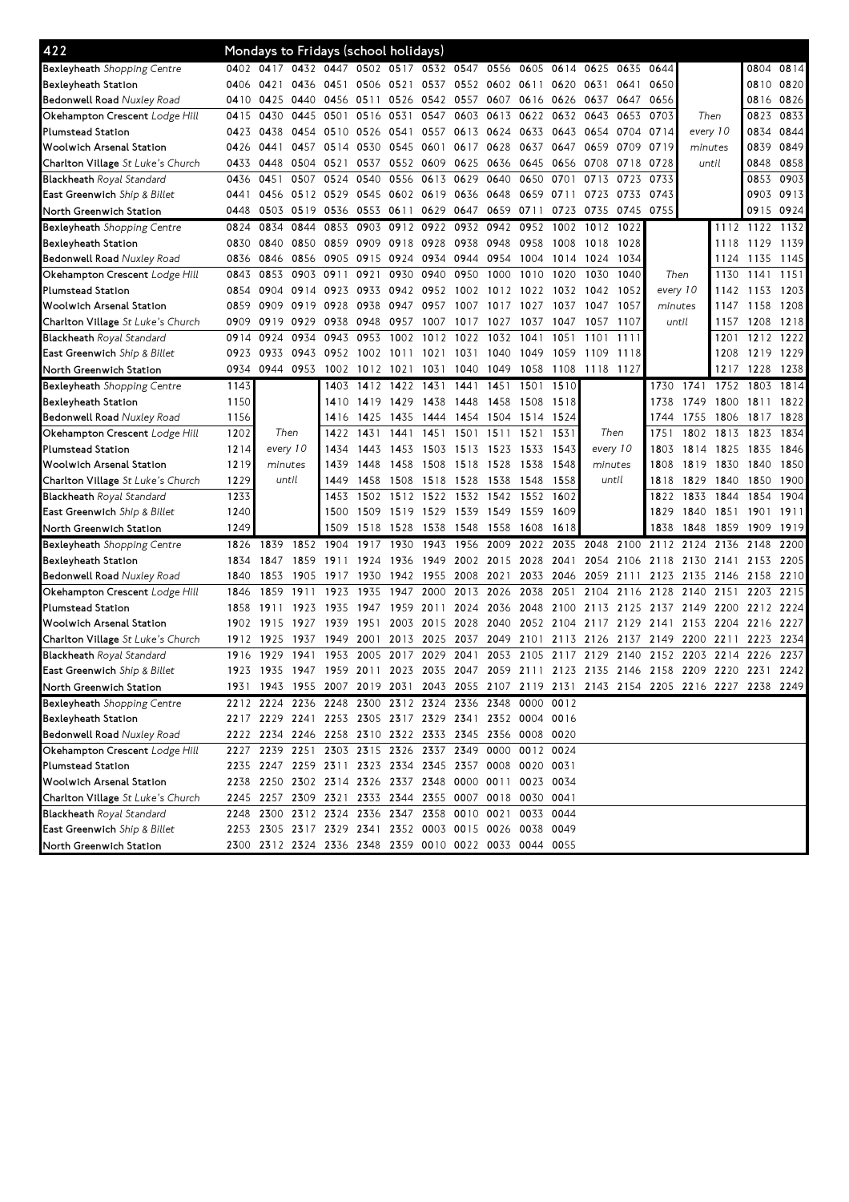| 422                                      |      |                |           | Mondays to Fridays (school holidays) |                |           |                                              |                |                |                                                        |                |           |         |           |                                                   |           |                                                                                           |           |
|------------------------------------------|------|----------------|-----------|--------------------------------------|----------------|-----------|----------------------------------------------|----------------|----------------|--------------------------------------------------------|----------------|-----------|---------|-----------|---------------------------------------------------|-----------|-------------------------------------------------------------------------------------------|-----------|
| Bexleyheath Shopping Centre              |      |                |           |                                      |                |           | 0402 0417 0432 0447 0502 0517 0532 0547 0556 |                |                | 0605                                                   | 0614 0625      |           | 0635    | 0644      |                                                   |           |                                                                                           | 0804 0814 |
| Bexleyheath Station                      | 0406 | 0421           | 0436      | 0451                                 |                | 0506 0521 | 0537                                         |                | 0552 0602 0611 |                                                        |                | 0620 0631 | 0641    | 0650      |                                                   |           |                                                                                           | 0810 0820 |
| <b>Bedonwell Road Nuxley Road</b>        | 0410 | 0425           | 0440      | 0456                                 | 0511 0526      |           |                                              | 0542 0557 0607 |                |                                                        | 0616 0626 0637 |           | 0647    | 0656      |                                                   |           |                                                                                           | 0816 0826 |
| Okehampton Crescent Lodge Hill           | 0415 | 0430           | 0445      | 0501                                 | 0516           | 0531      | 0547                                         | 0603           | 0613           | 0622                                                   | 0632           | 0643      | 0653    | 0703      | Then                                              |           | 0823                                                                                      | 0833      |
| <b>Plumstead Station</b>                 | 0423 | 0438           |           | 0454 0510                            |                | 0526 0541 | 0557                                         |                | 0613 0624      | 0633                                                   |                | 0643 0654 | 0704    | 0714      | every 10                                          |           | 0834                                                                                      | 0844      |
| Woolwich Arsenal Station                 | 0426 | 0441           | 0457      | 0514                                 |                | 0530 0545 | 0601                                         |                | 0617 0628      | 0637                                                   | 0647           | 0659      | 0709    | 0719      | minutes                                           |           | 0839                                                                                      | 0849      |
| Charlton Village St Luke's Church        | 0433 | 0448           | 0504      | 0521                                 | 0537           | 0552      | 0609                                         |                | 0625 0636      | 0645                                                   | 0656 0708      |           | 0718    | 0728      | until                                             |           | 0848                                                                                      | 0858      |
| <b>Blackheath Royal Standard</b>         | 0436 | 0451           | 0507      | 0524                                 | 0540           | 0556      | 0613                                         | 0629           | 0640           | 0650                                                   | 0701           | 0713      | 0723    | 0733      |                                                   |           | 0853                                                                                      | 0903      |
| East Greenwich Ship & Billet             | 0441 | 0456           | 0512 0529 |                                      | 0545           | 0602      | 0619                                         | 0636 0648      |                | 0659                                                   | 0711           | 0723      | 0733    | 0743      |                                                   |           |                                                                                           | 0903 0913 |
| North Greenwich Station                  | 0448 | 0503           | 0519      | 0536                                 |                | 0553 0611 | 0629                                         | 0647           | 0659           | 0711                                                   | 0723           | 0735      | 0745    | 0755      |                                                   |           |                                                                                           | 0915 0924 |
| Bexleyheath Shopping Centre              | 0824 | 0834           | 0844      | 0853                                 | 0903           | 0912      | 0922                                         |                | 0932 0942      | 0952                                                   | 1002           | 1012      | 1022    |           |                                                   |           | 1112 1122                                                                                 | 1132      |
| Bexleyheath Station                      | 0830 | 0840           | 0850      | 0859                                 | 0909           | 0918      | 0928                                         | 0938           | 0948           | 0958                                                   | 1008           | 1018      | 1028    |           |                                                   | 1118      | 1129                                                                                      | 1139      |
| <b>Bedonwell Road Nuxley Road</b>        | 0836 | 0846           | 0856      | 0905                                 |                | 0915 0924 | 0934                                         | 0944 0954      |                | 1004                                                   | 1014           | 1024      | 1034    |           |                                                   | 1124      | 1135                                                                                      | 1145      |
| Okehampton Crescent Lodge Hill           | 0843 | 0853           | 0903      | 0911                                 | 0921           | 0930      | 0940                                         | 0950           | 1000           | 1010                                                   | 1020           | 1030      | 1040    |           | Then                                              | 1130      | 1141                                                                                      | 1151      |
| <b>Plumstead Station</b>                 | 0854 | 0904           | 0914      | 0923                                 | 0933           | 0942      | 0952                                         |                | 1002 1012      | 1022                                                   | 1032           | 1042      | 1052    | every 10  |                                                   | 1142      | 1153                                                                                      | 1203      |
| Woolwich Arsenal Station                 | 0859 | 0909           | 0919      | 0928                                 | 0938           | 0947      | 0957                                         | 1007           | 1017           | 1027                                                   | 1037           | 1047      | 1057    |           | minutes                                           | 1147      | 1158                                                                                      | 1208      |
| Charlton Village St Luke's Church        | 0909 | 0919           | 0929      | 0938                                 | 0948           | 0957      | 1007                                         | 1017           | 1027           | 1037                                                   | 1047           | 1057      | 1107    |           | until                                             | 1157      | 1208                                                                                      | 1218      |
| <b>Blackheath</b> Royal Standard         | 0914 | 0924           | 0934      | 0943                                 | 0953           | 1002      | 1012                                         | 1022           | 1032           | 1041                                                   | 1051           | 1101      | 1111    |           |                                                   | 1201      | 1212                                                                                      | 1222      |
| East Greenwich Ship & Billet             | 0923 | 0933           | 0943      | 0952                                 |                | 1002 1011 | 1021                                         | 1031           | 1040           | 1049                                                   | 1059           | 1109      | 1118    |           |                                                   | 1208      | 1219                                                                                      | 1229      |
| North Greenwich Station                  | 0934 |                | 0944 0953 | 1002                                 | 1012 1021      |           | 1031                                         | 1040           | 1049           | 1058                                                   | 1108           | 1118 1127 |         |           |                                                   | 1217      | 1228                                                                                      | 1238      |
| Bexleyheath Shopping Centre              | 1143 |                |           | 1403                                 |                | 1412 1422 | 1431                                         | 1441           | 1451           | 1501                                                   | 1510           |           |         | 1730      | 1741                                              | 1752      | 1803                                                                                      | 1814      |
| Bexleyheath Station                      | 1150 |                |           | 1410                                 |                | 1419 1429 | 1438                                         | 1448           | 1458           | 1508 1518                                              |                |           |         | 1738      | 1749                                              | 1800      | 1811                                                                                      | 1822      |
| <b>Bedonwell Road Nuxley Road</b>        | 1156 |                |           | 1416                                 | 1425           | 1435      | 1444                                         | 1454 1504      |                | 1514                                                   | 1524           |           |         | 1744      | 1755                                              | 1806      | 1817                                                                                      | 1828      |
| Okehampton Crescent Lodge Hill           | 1202 |                | Then      | 1422                                 | 1431           | 1441      | 1451                                         | 1501 1511      |                | 1521                                                   | 1531           |           | Then    | 1751      | 1802                                              | 1813      | 1823                                                                                      | 1834      |
| <b>Plumstead Station</b>                 | 1214 | every 10       |           | 1434                                 | 1443           | 1453      | 1503                                         | 1513 1523      |                | 1533                                                   | 1543           | every 10  |         | 1803      | 1814                                              | 1825      | 1835                                                                                      | 1846      |
| Woolwich Arsenal Station                 | 1219 | minutes        |           | 1439                                 | 1448           | 1458      | 1508                                         | 1518 1528      |                | 1538                                                   | 1548           |           | minutes | 1808      | 1819                                              | 1830      | 1840                                                                                      | 1850      |
| Charlton Village St Luke's Church        | 1229 |                | until     | 1449                                 | 1458           | 1508      | 1518                                         | 1528           | 1538           | 1548                                                   | 1558           |           | until   | 1818      | 1829                                              | 1840      | 1850                                                                                      | 1900      |
| <b>Blackheath</b> Royal Standard         | 1233 |                |           | 1453                                 | 1502           | 1512      | 1522                                         |                | 1532 1542      | 1552                                                   | 1602           |           |         | 1822      | 1833                                              | 1844      | 1854                                                                                      | 1904      |
| East Greenwich Ship & Billet             | 1240 |                |           | 1500                                 | 1509           | 1519      | 1529                                         | 1539 1549      |                | 1559                                                   | 1609           |           |         | 1829      | 1840                                              | 1851      | 1901                                                                                      | 1911      |
| North Greenwich Station                  | 1249 |                |           | 1509                                 | 1518           | 1528      | 1538                                         | 1548           | 1558           | 1608                                                   | 1618           |           |         | 1838      | 1848                                              | 1859      | 1909                                                                                      | 1919      |
| <b>Bexleyheath</b> Shopping Centre       | 1826 | 1839           | 1852      | 1904                                 | 1917           | 1930      | 1943                                         | 1956           | 2009           | 2022                                                   | 2035           | 2048      | 2100    | 2112 2124 |                                                   | 2136      | 2148                                                                                      | 2200      |
| Bexleyheath Station                      | 1834 | 1847           | 1859      | 1911                                 | 1924           | 1936      | 1949                                         |                | 2002 2015      | 2028                                                   | 2041           | 2054      | 2106    | 2118      | 2130                                              | 2141      | 2153                                                                                      | 2205      |
| <b>Bedonwell Road Nuxley Road</b>        | 1840 | 1853           | 1905      | 1917                                 | 1930           | 1942      | 1955                                         | 2008           | 2021           | 2033                                                   | 2046 2059      |           | 2111    | 2123      | 2135                                              | 2146 2158 |                                                                                           | 2210      |
| Okehampton Crescent Lodge Hill           | 1846 | 1859           | 1911      | 1923                                 | 1935           | 1947      | 2000                                         |                | 2013 2026      | 2038                                                   | 2051           | 2104      | 2116    | 2128      | 2140                                              | 2151      | 2203                                                                                      | 2215      |
| <b>Plumstead Station</b>                 | 1858 | 1911           | 1923      | 1935                                 | 1947           | 1959      | 2011                                         |                | 2024 2036      | 2048                                                   | 2100           | 2113      | 2125    | 2137      | 2149                                              | 2200      | 2212                                                                                      | 2224      |
| Woolwich Arsenal Station                 | 1902 | 1915           | 1927      | 1939                                 | 1951           | 2003      | 2015                                         | 2028           | 2040           | 2052                                                   | 2104           | 2117      | 2129    | 2141      | 2153                                              | 2204      | 2216                                                                                      | 2227      |
| Charlton Village St Luke's Church        | 1912 | 1925           | 1937      | 1949                                 | 2001           | 2013      | 2025                                         | 2037           | 2049           | 2101                                                   | 2113           | 2126      | 2137    | 2149      | 2200                                              | 2211      | 2223                                                                                      | 2234      |
| <b>Blackheath</b> Royal Standard         | 1916 | 1929           | 1941      | 1953                                 | 2005           | 2017      | 2029                                         | 2041           | 2053           | 2105                                                   | 2117           | 2129      | 2140    | 2152      | 2203                                              | 2214      | 2226                                                                                      | 2237      |
| East Greenwich Ship & Billet             | 1923 | 1935 1947 1959 |           |                                      | 2011 2023 2035 |           |                                              |                |                |                                                        |                |           |         |           | 2047 2059 2111 2123 2135 2146 2158 2209 2220 2231 |           |                                                                                           | 2242      |
| North Greenwich Station                  |      |                |           |                                      |                |           |                                              |                |                |                                                        |                |           |         |           |                                                   |           | 1931 1943 1955 2007 2019 2031 2043 2055 2107 2119 2131 2143 2154 2205 2216 2227 2238 2249 |           |
| Bexleyheath Shopping Centre              |      |                |           |                                      |                |           |                                              |                |                | 2212 2224 2236 2248 2300 2312 2324 2336 2348 0000 0012 |                |           |         |           |                                                   |           |                                                                                           |           |
| Bexleyheath Station                      |      |                |           |                                      |                |           |                                              |                |                | 2217 2229 2241 2253 2305 2317 2329 2341 2352 0004 0016 |                |           |         |           |                                                   |           |                                                                                           |           |
| <b>Bedonwell Road</b> Nuxley Road        |      |                |           |                                      |                |           |                                              |                |                | 2222 2234 2246 2258 2310 2322 2333 2345 2356 0008 0020 |                |           |         |           |                                                   |           |                                                                                           |           |
| Okehampton Crescent Lodge Hill           |      |                |           |                                      |                |           |                                              |                |                | 2227 2239 2251 2303 2315 2326 2337 2349 0000 0012 0024 |                |           |         |           |                                                   |           |                                                                                           |           |
| Plumstead Station                        |      |                |           |                                      |                |           |                                              |                |                | 2235 2247 2259 2311 2323 2334 2345 2357 0008 0020 0031 |                |           |         |           |                                                   |           |                                                                                           |           |
| Woolwich Arsenal Station                 |      |                |           |                                      |                |           |                                              |                |                | 2238 2250 2302 2314 2326 2337 2348 0000 0011 0023 0034 |                |           |         |           |                                                   |           |                                                                                           |           |
| <b>Charlton Village</b> St Luke's Church |      |                |           |                                      |                |           |                                              |                |                | 2245 2257 2309 2321 2333 2344 2355 0007 0018 0030 0041 |                |           |         |           |                                                   |           |                                                                                           |           |
| Blackheath Royal Standard                |      |                |           |                                      |                |           | 2248 2300 2312 2324 2336 2347 2358 0010 0021 |                |                | 0033 0044                                              |                |           |         |           |                                                   |           |                                                                                           |           |
| <b>East Greenwich</b> Ship & Billet      |      |                |           |                                      |                |           |                                              |                |                | 2253 2305 2317 2329 2341 2352 0003 0015 0026 0038 0049 |                |           |         |           |                                                   |           |                                                                                           |           |
| North Greenwich Station                  |      |                |           |                                      |                |           |                                              |                |                | 2300 2312 2324 2336 2348 2359 0010 0022 0033 0044 0055 |                |           |         |           |                                                   |           |                                                                                           |           |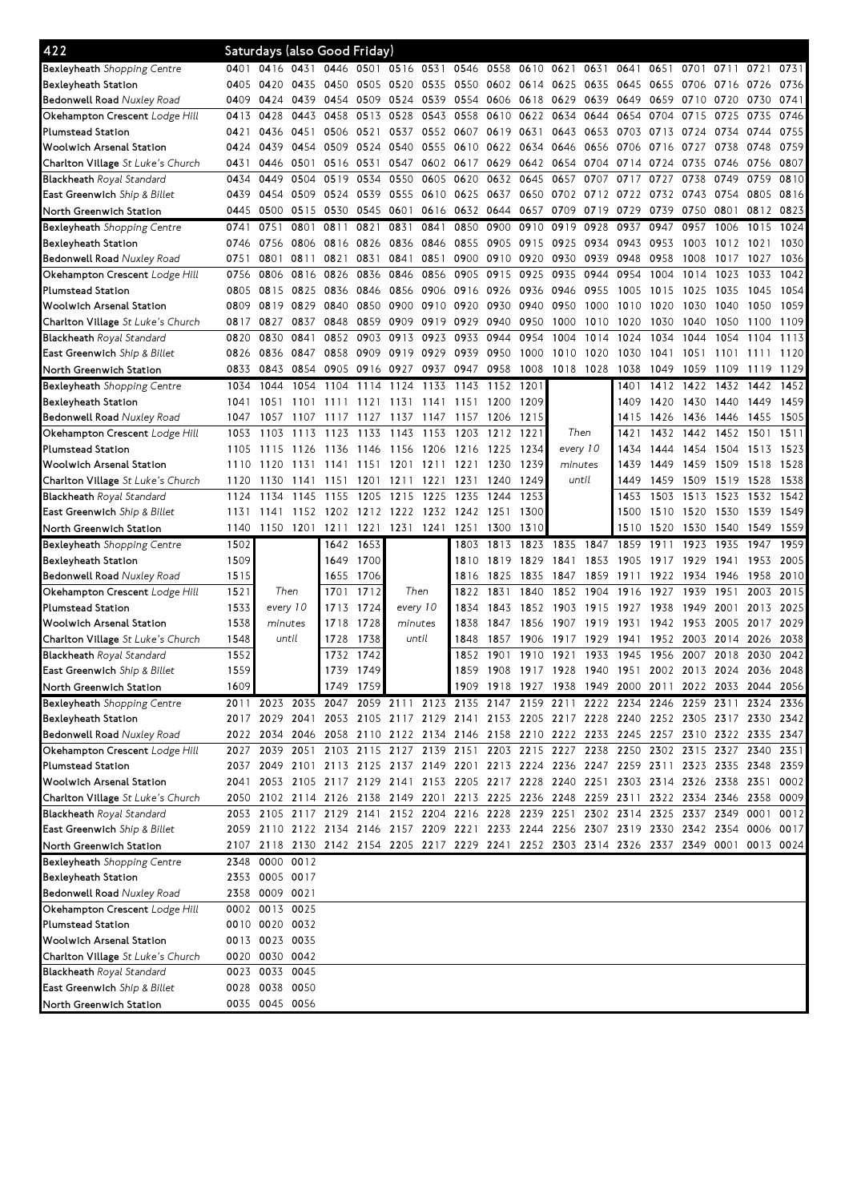| 422                                                              |      | Saturdays (also Good Friday) |      |                                                                                           |           |           |           |                |                |                                    |          |                |      |      |                          |           |      |      |
|------------------------------------------------------------------|------|------------------------------|------|-------------------------------------------------------------------------------------------|-----------|-----------|-----------|----------------|----------------|------------------------------------|----------|----------------|------|------|--------------------------|-----------|------|------|
| Bexleyheath Shopping Centre                                      | 0401 | 0416                         | 0431 | 0446                                                                                      | 0501      |           |           | 0516 0531 0546 |                | 0558 0610 0621                     |          | 0631           | 0641 | 0651 | 0701                     | 0711      | 0721 | 0731 |
| Bexleyheath Station                                              | 0405 | 0420                         | 0435 | 0450                                                                                      | 0505      | 0520 0535 |           |                | 0550 0602 0614 |                                    | 0625     | 0635           | 0645 | 0655 | 0706 0716                |           | 0726 | 0736 |
| <b>Bedonwell Road</b> Nuxley Road                                | 0409 | 0424                         | 0439 | 0454                                                                                      | 0509      | 0524      | 0539      | 0554           | 0606           | 0618                               | 0629     | 0639           | 0649 | 0659 | 0710                     | 0720      | 0730 | 0741 |
| Okehampton Crescent <i>Lodge Hill</i>                            | 0413 | 0428                         | 0443 | 0458                                                                                      | 0513      | 0528      | 0543      | 0558           | 0610           | 0622                               | 0634     | 0644           | 0654 | 0704 | 0715                     | 0725      | 0735 | 0746 |
| Plumstead Station                                                | 0421 | 0436                         | 0451 | 0506                                                                                      | 0521      | 0537      | 0552      | 0607           | 0619 0631      |                                    | 0643     | 0653           | 0703 | 0713 | 0724                     | 0734      | 0744 | 0755 |
| Woolwich Arsenal Station                                         | 0424 | 0439                         | 0454 | 0509                                                                                      | 0524      | 0540      | 0555      | 0610           | 0622           | 0634                               | 0646     | 0656           | 0706 | 0716 | 0727                     | 0738      | 0748 | 0759 |
| <b>Charlton Village</b> St Luke's Church                         | 0431 | 0446                         | 0501 | 0516                                                                                      | 0531      | 0547      | 0602      | 0617           | 0629           | 0642                               | 0654     | 0704           | 0714 | 0724 | 0735                     | 0746      | 0756 | 0807 |
| <b>Blackheath</b> Royal Standard                                 | 0434 | 0449                         | 0504 | 0519                                                                                      | 0534      | 0550      | 0605      | 0620           | 0632           | 0645                               | 0657     | 0707           | 0717 | 0727 | 0738                     | 0749      | 0759 | 0810 |
| <b>East Greenwich</b> Ship & Billet                              | 0439 | 0454                         | 0509 | 0524                                                                                      | 0539      | 0555      | 0610      | 0625           | 0637           | 0650                               | 0702     | 0712           | 0722 | 0732 | 0743                     | 0754      | 0805 | 0816 |
| North Greenwich Station                                          | 0445 | 0500                         | 0515 | 0530                                                                                      | 0545      | 0601      | 0616      |                | 0632 0644      | 0657                               | 0709     | 0719           | 0729 | 0739 | 0750                     | 0801      | 0812 | 0823 |
| <b>Bexleyheath</b> Shopping Centre                               | 0741 | 0751                         | 0801 | 0811                                                                                      | 0821      | 0831      | 0841      | 0850           | 0900           | 0910                               | 0919     | 0928           | 0937 | 0947 | 0957                     | 1006      | 1015 | 1024 |
| Bexleyheath Station                                              | 0746 | 0756                         | 0806 | 0816                                                                                      | 0826      | 0836      | 0846      | 0855           | 0905 0915      |                                    | 0925     | 0934           | 0943 | 0953 | 1003                     | 1012      | 1021 | 1030 |
| <b>Bedonwell Road</b> Nuxley Road                                | 0751 | 0801                         | 0811 | 0821                                                                                      | 0831      | 0841      | 0851      | 0900           | 0910           | 0920                               | 0930     | 0939           | 0948 | 0958 | 1008                     | 1017      | 1027 | 1036 |
| <b>Okehampton Crescent</b> Lodge Hill                            | 0756 | 0806                         | 0816 | 0826                                                                                      | 0836      | 0846      | 0856      | 0905           | 0915           | 0925                               | 0935     | 0944           | 0954 | 1004 | 1014                     | 1023      | 1033 | 1042 |
|                                                                  | 0805 | 0815                         | 0825 | 0836                                                                                      | 0846      | 0856 0906 |           | 0916           | 0926           | 0936                               | 0946     | 0955           | 1005 | 1015 | 1025                     | 1035      | 1045 | 1054 |
| Plumstead Station                                                |      |                              |      |                                                                                           |           | 0900      |           |                | 0930           |                                    |          |                |      |      |                          |           |      | 1059 |
| Woolwich Arsenal Station                                         | 0809 | 0819                         | 0829 | 0840                                                                                      | 0850      |           | 0910      | 0920           |                | 0940                               | 0950     | 1000           | 1010 | 1020 | 1030                     | 1040      | 1050 |      |
| <b>Charlton Village</b> St Luke's Church                         | 0817 | 0827                         | 0837 | 0848                                                                                      | 0859      | 0909      | 0919      | 0929           | 0940           | 0950                               | 1000     | 1010           | 1020 | 1030 | 1040                     | 1050      | 1100 | 1109 |
| <b>Blackheath</b> Royal Standard                                 | 0820 | 0830                         | 0841 | 0852                                                                                      | 0903      | 0913      | 0923      | 0933           | 0944           | 0954                               | 1004     | 1014           | 1024 | 1034 | 1044                     | 1054      | 1104 | 1113 |
| East Greenwich Ship & Billet                                     | 0826 | 0836                         | 0847 | 0858                                                                                      | 0909      | 0919 0929 |           | 0939           | 0950           | 1000                               | 1010     | 1020           | 1030 | 1041 | 1051                     | 1101      | 1111 | 1120 |
| North Greenwich Station                                          | 0833 | 0843                         | 0854 | 0905                                                                                      | 0916 0927 |           | 0937      | 0947 0958      |                | 1008                               |          | 1018 1028 1038 |      | 1049 | 1059                     | -1109     | 1119 | 1129 |
| <b>Bexleyheath</b> Shopping Centre                               | 1034 | 1044                         | 1054 | 1104                                                                                      | 1114      | 1124      | 1133      | 1143           | 1152           | 1201                               |          |                | 1401 | 1412 | 1422                     | 1432      | 1442 | 1452 |
| Bexleyheath Station                                              | 1041 | 1051                         | 1101 | 1111                                                                                      | 1121      | 1131      | 1141      | 1151           | 1200           | 1209                               |          |                | 1409 | 1420 | 1430                     | 1440      | 1449 | 1459 |
| <b>Bedonwell Road</b> Nuxley Road                                | 1047 | 1057                         | 1107 | 1117                                                                                      | 1127      | 1137      | 1147      | 1157           | 1206           | 1215                               |          |                | 1415 | 1426 | 1436                     | 1446      | 1455 | 1505 |
| <b>Okehampton Crescent</b> Lodge Hill                            | 1053 | 1103                         | 1113 | 1123                                                                                      | 1133      | 1143      | 1153      | 1203           | 1212           | 1221                               | Then     |                | 1421 | 1432 | 1442                     | 1452      | 1501 | 1511 |
| Plumstead Station                                                | 1105 | 1115                         | 1126 | 1136                                                                                      | 1146      | 1156      | 1206      | 1216           | 1225           | 1234                               | every 10 |                | 1434 | 1444 |                          | 1454 1504 | 1513 | 1523 |
| Woolwich Arsenal Station                                         | 1110 | 1120                         | 1131 | 1141                                                                                      | 1151      | 1201      | 1211      | 1221           | 1230           | 1239                               | minutes  |                | 1439 | 1449 | 1459 1509                |           | 1518 | 1528 |
| <b>Charlton Village</b> St Luke's Church                         | 1120 | 1130                         | 1141 | 1151                                                                                      | 1201      | 1211      | 1221      | 1231           | 1240           | 1249                               | until    |                | 1449 | 1459 | 1509                     | 1519      | 1528 | 1538 |
| <b>Blackheath</b> Royal Standard                                 | 1124 | 1134                         | 1145 | 1155                                                                                      | 1205      | 1215      | 1225      | 1235           | 1244           | 1253                               |          |                | 1453 | 1503 | 1513                     | 1523      | 1532 | 1542 |
| <b>East Greenwich</b> Ship & Billet                              | 1131 | 1141                         | 1152 | 1202                                                                                      |           | 1212 1222 | 1232      | 1242 1251      |                | 1300                               |          |                | 1500 | 1510 | 1520                     | 1530      | 1539 | 1549 |
| North Greenwich Station                                          | 1140 |                              | 1201 | 1211                                                                                      | 1221      |           | 1231 1241 | 1251           | 1300           | 1310                               |          |                | 1510 | 1520 | 1530                     | 1540      | 1549 | 1559 |
|                                                                  |      | 1150                         |      |                                                                                           |           |           |           |                |                |                                    |          |                |      |      |                          |           |      |      |
| <b>Bexleyheath</b> Shopping Centre                               | 1502 |                              |      | 1642                                                                                      | 1653      |           |           | 1803           | 1813           | 1823                               | 1835     | 1847           | 1859 | 1911 | 1923                     | 1935      | 1947 | 1959 |
| Bexleyheath Station                                              | 1509 |                              |      | 1649                                                                                      | 1700      |           |           | 1810           | 1819           | 1829                               | 1841     | 1853           | 1905 | 1917 | 1929                     | 1941      | 1953 | 2005 |
| <b>Bedonwell Road</b> Nuxley Road                                | 1515 |                              |      | 1655                                                                                      | 1706      |           |           | 1816           | 1825           | 1835                               | 1847     | 1859           | 1911 | 1922 | 1934                     | 1946      | 1958 | 2010 |
| <b>Okehampton Crescent</b> Lodge Hill                            | 1521 | Then                         |      | 1701                                                                                      | 1712      | Then      |           | 1822           | 1831           | 1840                               | 1852     | 1904           | 1916 | 1927 | 1939                     | 1951      | 2003 | 2015 |
| Plumstead Station                                                | 1533 | every 10                     |      | 1713                                                                                      | 1724      | every 10  |           | 1834           | 1843           | 1852                               | 1903     | 1915           | 1927 | 1938 | 1949                     | 2001      | 2013 | 2025 |
| Woolwich Arsenal Station                                         | 1538 | minutes                      |      | 1718                                                                                      | 1728      | minutes   |           | 1838           | 1847           | 1856                               | 1907     | 1919           | 1931 | 1942 | 1953                     | 2005      | 2017 | 2029 |
| <b>Charlton Village</b> St Luke's Church                         | 1548 | until                        |      | 1728                                                                                      | 1738      | until     |           | 1848           | 1857           | 1906                               | 1917     | 1929           | 1941 | 1952 | 2003                     | 2014      | 2026 | 2038 |
|                                                                  | 1552 |                              |      | 1732                                                                                      | 1742      |           |           | 1852           | 1901           | 1910                               | 1921     | 1933           | 1945 | 1956 | 2007                     | 2018      | 2030 | 2042 |
| Blackheath Royal Standard<br><b>East Greenwich</b> Ship & Billet | 1559 |                              |      |                                                                                           | 1739 1749 |           |           | 1859           |                | 1908 1917 1928 1940 1951           |          |                |      |      | 2002 2013 2024 2036 2048 |           |      |      |
|                                                                  |      |                              |      |                                                                                           |           |           |           |                |                |                                    |          |                |      |      |                          |           | 2044 | 2056 |
| North Greenwich Station                                          | 1609 |                              |      | 1749                                                                                      | 1759      |           |           |                |                | 1909 1918 1927 1938 1949 2000 2011 |          |                |      |      | 2022 2033                |           |      |      |
| <b>Bexleyheath</b> Shopping Centre                               |      |                              |      | 2011 2023 2035 2047 2059 2111 2123 2135 2147 2159 2211 2222 2234 2246 2259 2311 2324 2336 |           |           |           |                |                |                                    |          |                |      |      |                          |           |      |      |
| Bexleyheath Station                                              |      |                              |      | 2017 2029 2041 2053 2105 2117 2129 2141 2153 2205 2217 2228 2240 2252 2305 2317 2330 2342 |           |           |           |                |                |                                    |          |                |      |      |                          |           |      |      |
| <b>Bedonwell Road</b> Nuxley Road                                |      |                              |      | 2022 2034 2046 2058 2110 2122 2134 2146 2158 2210 2222 2233 2245 2257 2310 2322 2335 2347 |           |           |           |                |                |                                    |          |                |      |      |                          |           |      |      |
| Okehampton Crescent <i>Lodge Hill</i>                            |      |                              |      | 2027 2039 2051 2103 2115 2127 2139 2151 2203 2215 2227 2238 2250 2302 2315 2327 2340      |           |           |           |                |                |                                    |          |                |      |      |                          |           |      | 2351 |
| Plumstead Station                                                |      |                              |      | 2037 2049 2101 2113 2125 2137 2149 2201 2213 2224 2236 2247 2259 2311 2323 2335 2348      |           |           |           |                |                |                                    |          |                |      |      |                          |           |      | 2359 |
| Woolwich Arsenal Station                                         |      |                              |      | 2041 2053 2105 2117 2129 2141 2153 2205 2217 2228 2240 2251 2303 2314 2326 2338 2351      |           |           |           |                |                |                                    |          |                |      |      |                          |           |      | 0002 |
| Charlton Village St Luke's Church                                |      |                              |      | 2050 2102 2114 2126 2138 2149 2201 2213 2225 2236 2248 2259 2311 2322 2334 2346 2358      |           |           |           |                |                |                                    |          |                |      |      |                          |           |      | 0009 |
| <b>Blackheath</b> Royal Standard                                 |      |                              |      | 2053 2105 2117 2129 2141 2152 2204 2216 2228 2239 2251 2302 2314 2325 2337 2349 0001      |           |           |           |                |                |                                    |          |                |      |      |                          |           |      | 0012 |
| <b>East Greenwich</b> Ship & Billet                              |      |                              |      | 2059 2110 2122 2134 2146 2157 2209 2221 2233 2244 2256 2307 2319 2330 2342 2354 0006 0017 |           |           |           |                |                |                                    |          |                |      |      |                          |           |      |      |
| North Greenwich Station                                          |      |                              |      | 2107 2118 2130 2142 2154 2205 2217 2229 2241 2252 2303 2314 2326 2337 2349 0001 0013 0024 |           |           |           |                |                |                                    |          |                |      |      |                          |           |      |      |
| Bexleyheath Shopping Centre                                      |      | 2348 0000 0012               |      |                                                                                           |           |           |           |                |                |                                    |          |                |      |      |                          |           |      |      |
| Bexleyheath Station                                              |      | 2353 0005 0017               |      |                                                                                           |           |           |           |                |                |                                    |          |                |      |      |                          |           |      |      |
| <b>Bedonwell Road</b> Nuxley Road                                |      | 2358 0009 0021               |      |                                                                                           |           |           |           |                |                |                                    |          |                |      |      |                          |           |      |      |
| Okehampton Crescent <i>Lodge Hill</i>                            |      | 0002 0013 0025               |      |                                                                                           |           |           |           |                |                |                                    |          |                |      |      |                          |           |      |      |
| Plumstead Station                                                |      | 0010 0020 0032               |      |                                                                                           |           |           |           |                |                |                                    |          |                |      |      |                          |           |      |      |
| Woolwich Arsenal Station                                         |      | 0013 0023 0035               |      |                                                                                           |           |           |           |                |                |                                    |          |                |      |      |                          |           |      |      |
| <b>Charlton Village</b> St Luke's Church                         |      | 0020 0030 0042               |      |                                                                                           |           |           |           |                |                |                                    |          |                |      |      |                          |           |      |      |
| <b>Blackheath</b> Royal Standard                                 |      | 0023 0033 0045               |      |                                                                                           |           |           |           |                |                |                                    |          |                |      |      |                          |           |      |      |
| <b>East Greenwich</b> Ship & Billet                              |      | 0028 0038 0050               |      |                                                                                           |           |           |           |                |                |                                    |          |                |      |      |                          |           |      |      |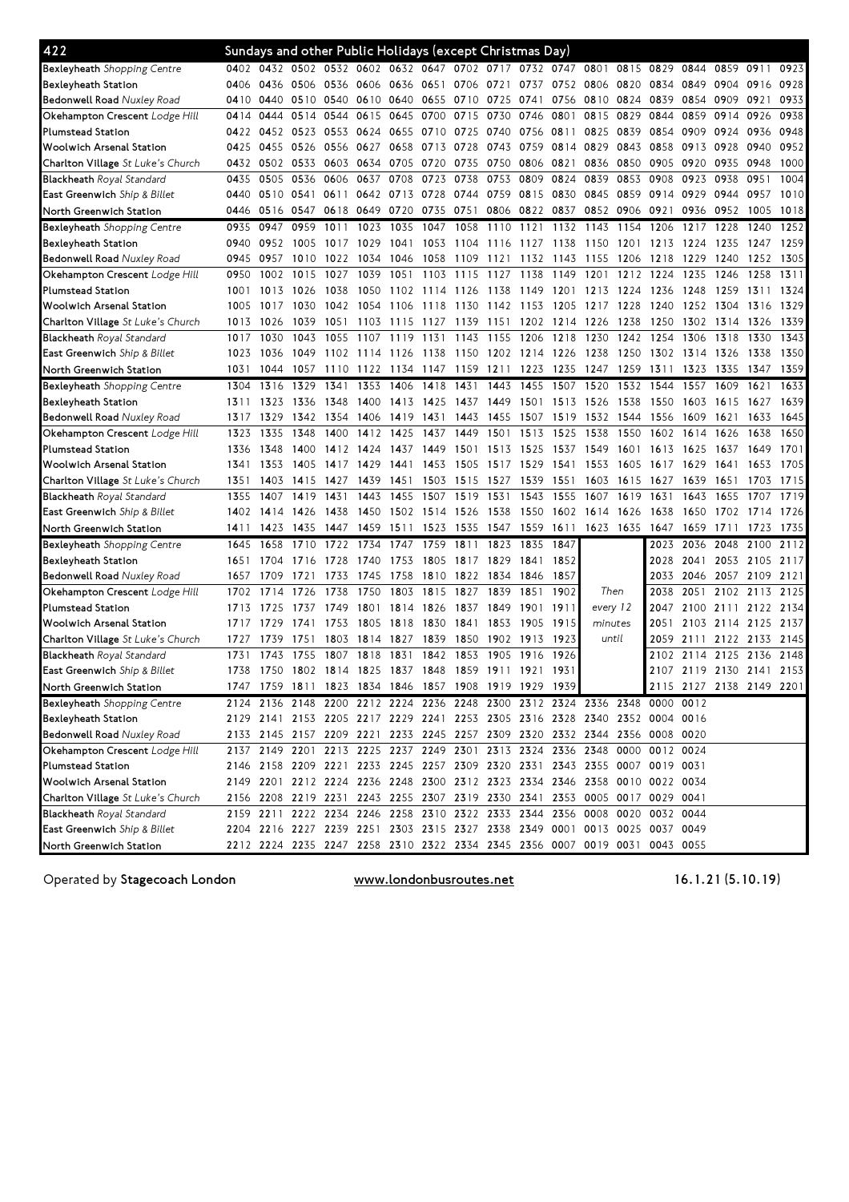| 422                                |      |           |           | Sundays and other Public Holidays (except Christmas Day) |      |                |      |           |                |      |                                                                            |           |      |           |                          |                |      |      |
|------------------------------------|------|-----------|-----------|----------------------------------------------------------|------|----------------|------|-----------|----------------|------|----------------------------------------------------------------------------|-----------|------|-----------|--------------------------|----------------|------|------|
| <b>Bexleyheath</b> Shopping Centre | 0402 | 0432      |           |                                                          |      |                |      |           |                |      | 0502 0532 0602 0632 0647 0702 0717 0732 0747                               | 0801      | 0815 | 0829      | 0844 0859                |                | 0911 | 0923 |
| Bexleyheath Station                | 0406 | 0436      | 0506 0536 |                                                          |      | 0606 0636 0651 |      | 0706 0721 |                | 0737 | 0752 0806                                                                  |           | 0820 | 0834      | 0849 0904                |                | 0916 | 0928 |
| Bedonwell Road Nuxley Road         | 0410 | 0440      | 0510 0540 |                                                          | 0610 | 0640           | 0655 | 0710      | 0725           | 0741 | 0756                                                                       | 0810      | 0824 | 0839      | 0854 0909                |                | 0921 | 0933 |
| Okehampton Crescent Lodge Hill     | 0414 | 0444      | 0514      | 0544                                                     | 0615 | 0645           | 0700 | 0715      | 0730           | 0746 | 0801                                                                       | 0815      | 0829 | 0844      | 0859                     | 0914           | 0926 | 0938 |
| <b>Plumstead Station</b>           | 0422 | 0452      | 0523      | 0553                                                     | 0624 | 0655           | 0710 | 0725      | 0740           | 0756 | 0811                                                                       | 0825      | 0839 | 0854      | 0909                     | 0924           | 0936 | 0948 |
| <b>Woolwich Arsenal Station</b>    | 0425 | 0455      | 0526 0556 |                                                          | 0627 | 0658           | 0713 | 0728      | 0743           | 0759 | 0814                                                                       | 0829      | 0843 | 0858      | 0913 0928                |                | 0940 | 0952 |
| Charlton Village St Luke's Church  | 0432 | 0502      | 0533      | 0603                                                     | 0634 | 0705           | 0720 | 0735      | 0750           | 0806 | 0821                                                                       | 0836      | 0850 | 0905      | 0920                     | 0935           | 0948 | 1000 |
| Blackheath Royal Standard          | 0435 | 0505      | 0536      | 0606                                                     | 0637 | 0708           | 0723 | 0738      | 0753           | 0809 | 0824                                                                       | 0839      | 0853 | 0908      | 0923                     | 0938           | 0951 | 1004 |
| East Greenwich Ship & Billet       | 0440 | 0510      | 0541      | 0611                                                     |      | 0642 0713 0728 |      | 0744 0759 |                | 0815 | 0830                                                                       | 0845      | 0859 | 0914      | 0929                     | 0944           | 0957 | 1010 |
| North Greenwich Station            | 0446 | 0516      | 0547      | 0618                                                     | 0649 | 0720           | 0735 | 0751      | 0806 0822      |      | 0837                                                                       | 0852      | 0906 | 0921      | 0936 0952                |                | 1005 | 1018 |
| <b>Bexleyheath</b> Shopping Centre | 0935 | 0947      | 0959      | 1011                                                     | 1023 | 1035           | 1047 | 1058      | 1110           | 1121 | 1132                                                                       | 1143      | 1154 | 1206      | 1217                     | 1228           | 1240 | 1252 |
| Bexleyheath Station                | 0940 | 0952      | 1005      | 1017                                                     | 1029 | 1041           | 1053 | 1104      | 1116           | 1127 | 1138                                                                       | 1150      | 1201 | 1213      | 1224                     | 1235           | 1247 | 1259 |
| <b>Bedonwell Road Nuxley Road</b>  | 0945 | 0957      | 1010      | 1022                                                     | 1034 | 1046           | 1058 | 1109      | 1121           | 1132 | 1143                                                                       | 1155      | 1206 | 1218      | 1229                     | 1240           | 1252 | 1305 |
| Okehampton Crescent Lodge Hill     | 0950 | 1002      | 1015      | 1027                                                     | 1039 | 1051           | 1103 | 1115      | 1127           | 1138 | 1149                                                                       | 1201      | 1212 | 1224      | 1235                     | 1246           | 1258 | 1311 |
| Plumstead Station                  | 1001 | 1013      | 1026      | 1038                                                     | 1050 | 1102           | 1114 | 1126      | 1138           | 1149 | 1201                                                                       | 1213      | 1224 | 1236      | 1248                     | 1259           | 1311 | 1324 |
| <b>Woolwich Arsenal Station</b>    | 1005 | 1017      | 1030      | 1042                                                     | 1054 | 1106           | 1118 |           | 1130 1142 1153 |      | 1205                                                                       | 1217      | 1228 | 1240      | 1252 1304                |                | 1316 | 1329 |
| Charlton Village St Luke's Church  | 1013 | 1026      | 1039      | 1051                                                     | 1103 | 1115           | 1127 | 1139      | 1151           | 1202 | 1214                                                                       | 1226      | 1238 | 1250      | 1302 1314                |                | 1326 | 1339 |
| <b>Blackheath</b> Royal Standard   | 1017 | 1030      | 1043      | 1055                                                     | 1107 | 1119           | 1131 | 1143      | 1155           | 1206 | 1218                                                                       | 1230      | 1242 | 1254      | 1306                     | 1318           | 1330 | 1343 |
| East Greenwich Ship & Billet       | 1023 | 1036      | 1049      | 1102                                                     | 1114 | 1126           | 1138 | 1150      | 1202 1214      |      | 1226                                                                       | 1238      | 1250 | 1302      | 1314                     | 1326           | 1338 | 1350 |
| North Greenwich Station            | 1031 | 1044      | 1057      | 1110                                                     | 1122 | 1134           | 1147 | 1159      | 1211           | 1223 | 1235                                                                       | 1247      | 1259 | 1311      | 1323                     | 1335           | 1347 | 1359 |
| Bexleyheath Shopping Centre        | 1304 | 1316      | 1329      | 1341                                                     | 1353 | 1406           | 1418 | 1431      | 1443           | 1455 | 1507                                                                       | 1520      | 1532 | 1544      | 1557                     | 1609           | 1621 | 1633 |
| <b>Bexleyheath Station</b>         | 1311 | 1323      | 1336      | 1348                                                     | 1400 | 1413           | 1425 | 1437      | 1449           | 1501 | 1513                                                                       | 1526      | 1538 | 1550      | 1603                     | 1615           | 1627 | 1639 |
| Bedonwell Road Nuxley Road         | 1317 | 1329      | 1342      | 1354                                                     | 1406 | 1419           | 1431 | 1443      | 1455           | 1507 | 1519                                                                       | 1532      | 1544 | 1556      | 1609                     | 1621           | 1633 | 1645 |
| Okehampton Crescent Lodge Hill     | 1323 | 1335      | 1348      | 1400                                                     | 1412 | 1425           | 1437 | 1449      | 1501           | 1513 | 1525                                                                       | 1538      | 1550 | 1602      | 1614                     | 1626           | 1638 | 1650 |
| <b>Plumstead Station</b>           | 1336 | 1348      | 1400      | 1412                                                     | 1424 | 1437           | 1449 | 1501      | 1513           | 1525 | 1537                                                                       | 1549      | 1601 | 1613      | 1625                     | 1637           | 1649 | 1701 |
| <b>Woolwich Arsenal Station</b>    | 1341 | 1353      | 1405      | 1417                                                     | 1429 | 1441           | 1453 | 1505      | 1517           | 1529 | 1541                                                                       | 1553      | 1605 | 1617      | 1629                     | 1641           | 1653 | 1705 |
| Charlton Village St Luke's Church  | 1351 | 1403      | 1415      | 1427                                                     | 1439 | 1451           | 1503 | 1515      | 1527           | 1539 | 1551                                                                       | 1603      | 1615 | 1627      | 1639                     | 1651           | 1703 | 1715 |
| Blackheath Royal Standard          | 1355 | 1407      | 1419      | 1431                                                     | 1443 | 1455           | 1507 | 1519      | 1531           | 1543 | 1555                                                                       | 1607      | 1619 | 1631      | 1643                     | 1655           | 1707 | 1719 |
| East Greenwich Ship & Billet       | 1402 | 1414      | 1426      | 1438                                                     | 1450 | 1502           | 1514 | 1526      | 1538           | 1550 | 1602                                                                       | 1614      | 1626 | 1638      | 1650                     | 1702           | 1714 | 1726 |
| North Greenwich Station            | 1411 | 1423      | 1435      | 1447                                                     | 1459 | 1511           | 1523 | 1535      | 1547           | 1559 | 1611                                                                       | 1623 1635 |      | 1647      | 1659                     | 1711           | 1723 | 1735 |
| Bexleyheath Shopping Centre        | 1645 | 1658      | 1710      | 1722                                                     | 1734 | 1747           | 1759 | 1811      | 1823           | 1835 | 1847                                                                       |           |      | 2023      | 2036                     | 2048           | 2100 | 2112 |
| Bexleyheath Station                | 1651 | 1704      | 1716      | 1728                                                     | 1740 | 1753           | 1805 | 1817      | 1829           | 1841 | 1852                                                                       |           |      | 2028      | 2041                     | 2053           | 2105 | 2117 |
| <b>Bedonwell Road Nuxley Road</b>  | 1657 | 1709      | 1721      | 1733                                                     | 1745 | 1758           | 1810 | 1822      | 1834           | 1846 | 1857                                                                       |           |      | 2033      | 2046 2057                |                | 2109 | 2121 |
| Okehampton Crescent Lodge Hill     | 1702 | 1714      | 1726      | 1738                                                     | 1750 | 1803           | 1815 | 1827      | 1839           | 1851 | 1902                                                                       | Then      |      | 2038      | 2051                     | 2102           | 2113 | 2125 |
| Plumstead Station                  | 1713 | 1725      | 1737      | 1749                                                     | 1801 | 1814           | 1826 | 1837      | 1849           | 1901 | 1911                                                                       | every 12  |      | 2047      | 2100                     | 2111           | 2122 | 2134 |
| <b>Woolwich Arsenal Station</b>    | 1717 | 1729      | 1741      | 1753                                                     | 1805 | 1818           | 1830 | 1841      | 1853           | 1905 | 1915                                                                       | minutes   |      | 2051      |                          | 2103 2114 2125 |      | 2137 |
| Charlton Village St Luke's Church  | 1727 | 1739      | 1751      | 1803                                                     |      | 1814 1827      | 1839 | 1850      | 1902           | 1913 | 1923                                                                       | until     |      | 2059      | 2111 2122                |                | 2133 | 2145 |
| <b>Blackheath Royal Standard</b>   | 1731 | 1743      | 1755      | 1807                                                     | 1818 | 1831           | 1842 | 1853      | 1905           | 1916 | 1926                                                                       |           |      | 2102      | 2114 2125                |                | 2136 | 2148 |
| East Greenwich Ship & Billet       | 1738 | 1750      |           | 1802 1814                                                |      | 1825 1837      | 1848 | 1859      | 1911           | 1921 | 1931                                                                       |           |      |           | 2107 2119 2130 2141      |                |      | 2153 |
| North Greenwich Station            |      |           |           | 1747 1759 1811 1823 1834 1846 1857 1908 1919 1929 1939   |      |                |      |           |                |      |                                                                            |           |      |           | 2115 2127 2138 2149 2201 |                |      |      |
| Bexleyheath Shopping Centre        |      |           |           |                                                          |      |                |      |           |                |      | 2124 2136 2148 2200 2212 2224 2236 2248 2300 2312 2324 2336 2348 0000 0012 |           |      |           |                          |                |      |      |
| Bexleyheath Station                |      |           |           |                                                          |      |                |      |           |                |      | 2129 2141 2153 2205 2217 2229 2241 2253 2305 2316 2328 2340 2352 0004 0016 |           |      |           |                          |                |      |      |
| Bedonwell Road Nuxley Road         |      |           |           |                                                          |      |                |      |           |                |      | 2133 2145 2157 2209 2221 2233 2245 2257 2309 2320 2332 2344 2356 0008 0020 |           |      |           |                          |                |      |      |
| Okehampton Crescent Lodge Hill     |      |           |           |                                                          |      |                |      |           |                |      | 2137 2149 2201 2213 2225 2237 2249 2301 2313 2324 2336 2348 0000 0012 0024 |           |      |           |                          |                |      |      |
| <b>Plumstead Station</b>           |      |           |           |                                                          |      |                |      |           |                |      | 2146 2158 2209 2221 2233 2245 2257 2309 2320 2331 2343 2355 0007 0019 0031 |           |      |           |                          |                |      |      |
| Woolwich Arsenal Station           |      |           |           |                                                          |      |                |      |           |                |      | 2149 2201 2212 2224 2236 2248 2300 2312 2323 2334 2346 2358 0010 0022 0034 |           |      |           |                          |                |      |      |
| Charlton Village St Luke's Church  |      |           |           |                                                          |      |                |      |           |                |      | 2156 2208 2219 2231 2243 2255 2307 2319 2330 2341 2353 0005 0017 0029 0041 |           |      |           |                          |                |      |      |
| <b>Blackheath Royal Standard</b>   |      | 2159 2211 |           |                                                          |      |                |      |           |                |      | 2222 2234 2246 2258 2310 2322 2333 2344 2356 0008 0020                     |           |      | 0032 0044 |                          |                |      |      |
| East Greenwich Ship & Billet       |      |           |           |                                                          |      |                |      |           |                |      | 2204 2216 2227 2239 2251 2303 2315 2327 2338 2349 0001 0013 0025 0037 0049 |           |      |           |                          |                |      |      |
| North Greenwich Station            |      |           |           |                                                          |      |                |      |           |                |      | 2212 2224 2235 2247 2258 2310 2322 2334 2345 2356 0007 0019 0031 0043 0055 |           |      |           |                          |                |      |      |

Operated by Stagecoach London

www.londonbusroutes.net

(5.10.19)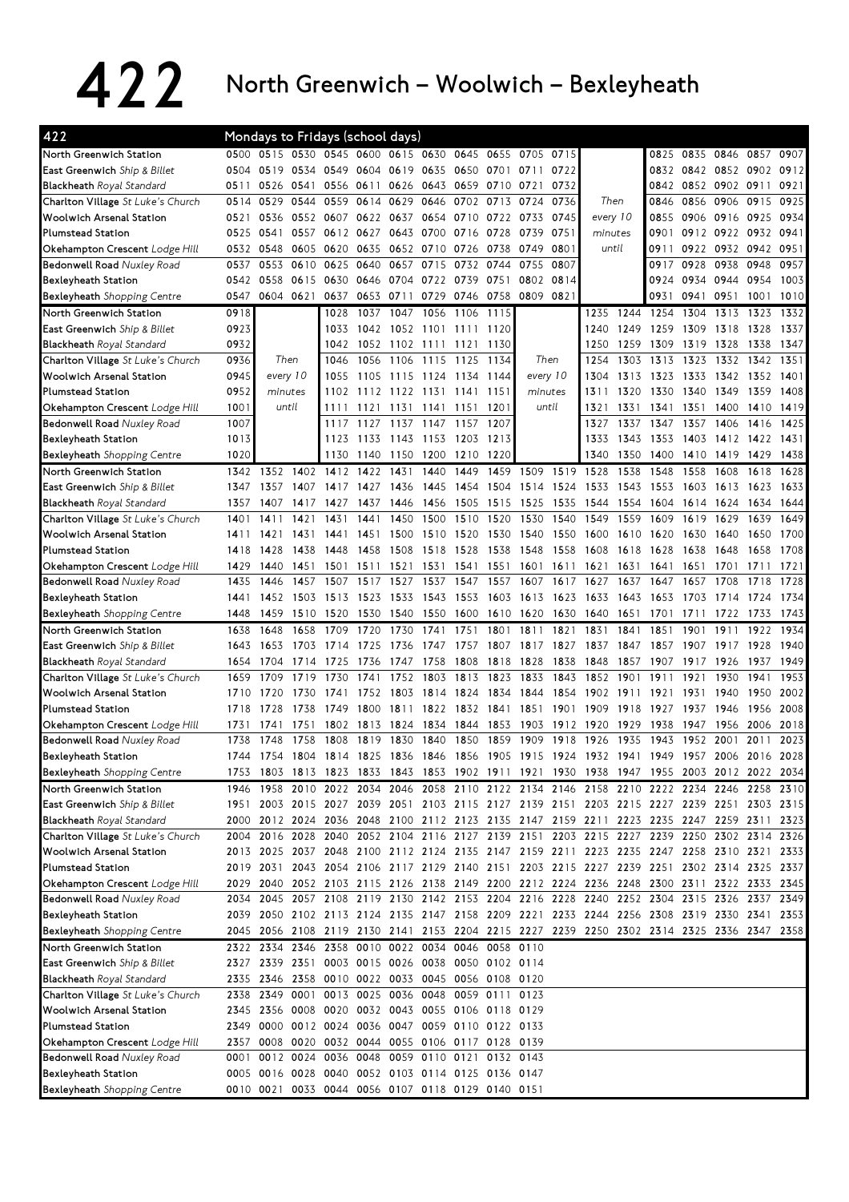## 422 North Greenwich – Woolwich – Bexleyheath

| 422                                                                |      | Mondays to Fridays (school days) |       |                                                                                                        |                |           |      |           |      |                                                                                           |          |          |      |      |                     |                |      |      |
|--------------------------------------------------------------------|------|----------------------------------|-------|--------------------------------------------------------------------------------------------------------|----------------|-----------|------|-----------|------|-------------------------------------------------------------------------------------------|----------|----------|------|------|---------------------|----------------|------|------|
| North Greenwich Station                                            | 0500 | 0515 0530                        |       | 0545 0600                                                                                              |                | 0615      | 0630 | 0645      | 0655 | 0705                                                                                      | 0715     |          |      | 0825 | 0835                | 0846           | 0857 | 0907 |
| East Greenwich Ship & Billet                                       | 0504 | 0519                             | 0534  | 0549                                                                                                   | 0604           | 0619      | 0635 | 0650      | 0701 | 0711                                                                                      | 0722     |          |      | 0832 | 0842                | 0852 0902      |      | 0912 |
| <b>Blackheath</b> Royal Standard                                   | 0511 | 0526 0541                        |       | 0556                                                                                                   | 0611           | 0626      | 0643 | 0659      | 0710 | 0721                                                                                      | 0732     |          |      | 0842 | 0852 0902 0911      |                |      | 0921 |
| Charlton Village St Luke's Church                                  | 0514 | 0529                             | 0544  | 0559                                                                                                   | 0614           | 0629      | 0646 | 0702      | 0713 | 0724                                                                                      | 0736     | Then     |      | 0846 | 0856                | 0906           | 0915 | 0925 |
| <b>Woolwich Arsenal Station</b>                                    | 0521 | 0536                             | 0552  | 0607                                                                                                   | 0622           | 0637      | 0654 | 0710 0722 |      | 0733                                                                                      | 0745     | every 10 |      | 0855 | 0906                | 0916 0925      |      | 0934 |
| <b>Plumstead Station</b>                                           | 0525 | 0541                             | 0557  | 0612 0627                                                                                              |                | 0643      | 0700 | 0716 0728 |      | 0739                                                                                      | 0751     | minutes  |      | 0901 |                     | 0912 0922 0932 |      | 0941 |
| Okehampton Crescent Lodge Hill                                     | 0532 | 0548                             | 0605  | 0620                                                                                                   | 0635           | 0652      | 0710 | 0726      | 0738 | 0749                                                                                      | 0801     | until    |      | 0911 | 0922                | 0932           | 0942 | 0951 |
| Bedonwell Road Nuxley Road                                         | 0537 | 0553                             | 0610  | 0625                                                                                                   | 0640           | 0657      | 0715 | 0732      | 0744 | 0755                                                                                      | 0807     |          |      | 0917 | 0928                | 0938           | 0948 | 0957 |
| Bexleyheath Station                                                | 0542 | 0558                             | 0615  | 0630                                                                                                   | 0646           | 0704      | 0722 | 0739      | 0751 | 0802                                                                                      | 0814     |          |      | 0924 | 0934                | 0944           | 0954 | 1003 |
| <b>Bexleyheath</b> Shopping Centre                                 | 0547 | 0604                             | 0621  | 0637                                                                                                   | 0653           | 0711      | 0729 | 0746      | 0758 | 0809                                                                                      | 0821     |          |      | 0931 | 0941                | 0951           | 1001 | 1010 |
| North Greenwich Station                                            | 0918 |                                  |       | 1028                                                                                                   | 1037           | 1047      | 1056 | 1106      | 1115 |                                                                                           |          | 1235     | 1244 | 1254 | 1304                | 1313           | 1323 | 1332 |
| East Greenwich Ship & Billet                                       | 0923 |                                  |       | 1033                                                                                                   | 1042           | 1052      | 1101 | 1111      | 1120 |                                                                                           |          | 1240     | 1249 | 1259 | 1309                | 1318           | 1328 | 1337 |
| <b>Blackheath</b> Royal Standard                                   | 0932 |                                  |       | 1042                                                                                                   | 1052           | 1102 1111 |      | 1121      | 1130 |                                                                                           |          | 1250     | 1259 | 1309 | 1319                | 1328           | 1338 | 1347 |
| <b>Charlton Village</b> St Luke's Church                           | 0936 | Then                             |       | 1046                                                                                                   | 1056           | 1106      | 1115 | 1125      | 1134 | Then                                                                                      |          | 1254     | 1303 | 1313 | 1323                | 1332           | 1342 | 1351 |
| <b>Woolwich Arsenal Station</b>                                    | 0945 | every 10                         |       | 1055                                                                                                   | 1105           | 1115      | 1124 | 1134      | 1144 | every 10                                                                                  |          | 1304     | 1313 | 1323 | 1333                | 1342           | 1352 | 1401 |
| <b>Plumstead Station</b>                                           | 0952 | minutes                          |       | 1102                                                                                                   | 1112           | 1122      | 1131 | 1141      | 1151 | minutes                                                                                   |          | 1311     | 1320 | 1330 | 1340                | 1349           | 1359 | 1408 |
| Okehampton Crescent Lodge Hill                                     | 1001 |                                  | until | 1111                                                                                                   | 1121           | 1131      | 1141 | 1151      | 1201 | until                                                                                     |          | 1321     | 1331 | 1341 | 1351                | 1400           | 1410 | 1419 |
| Bedonwell Road Nuxley Road                                         | 1007 |                                  |       | 1117                                                                                                   | 1127           | 1137      | 1147 | 1157      | 1207 |                                                                                           |          | 1327     | 1337 | 1347 | 1357                | 1406           | 1416 | 1425 |
| <b>Bexleyheath Station</b>                                         | 1013 |                                  |       | 1123                                                                                                   | 1133           | 1143 1153 |      | 1203      | 1213 |                                                                                           |          | 1333     | 1343 | 1353 | 1403                | 1412 1422      |      | 1431 |
| <b>Bexleyheath</b> Shopping Centre                                 | 1020 |                                  |       | 1130                                                                                                   | 1140           | 1150      | 1200 | 1210      | 1220 |                                                                                           |          | 1340     | 1350 | 1400 | 1410                | 1419           | 1429 | 1438 |
| North Greenwich Station                                            | 1342 | 1352                             | 1402  | 1412                                                                                                   | 1422           | 1431      | 1440 | 1449      | 1459 | 1509                                                                                      | 1519     | 1528     | 1538 | 1548 | 1558                | 1608           | 1618 | 1628 |
| <b>East Greenwich</b> Ship & Billet                                | 1347 | 1357                             | 1407  | 1417                                                                                                   | 1427           | 1436      | 1445 | 1454      | 1504 | 1514                                                                                      | 1524     | 1533     | 1543 | 1553 | 1603                | 1613           | 1623 | 1633 |
| <b>Blackheath Royal Standard</b>                                   | 1357 | 1407                             | 1417  | 1427                                                                                                   | 1437           | 1446      | 1456 | 1505      | 1515 | 1525                                                                                      | 1535     | 1544     | 1554 | 1604 | 1614                | 1624           | 1634 | 1644 |
| Charlton Village St Luke's Church                                  | 1401 | 1411                             | 1421  | 1431                                                                                                   | 1441           | 1450      | 1500 | 1510      | 1520 | 1530                                                                                      | 1540     | 1549     | 1559 | 1609 | 1619                | 1629           | 1639 | 1649 |
| <b>Woolwich Arsenal Station</b>                                    | 1411 | 1421                             | 1431  | 1441                                                                                                   | 1451           | 1500      | 1510 | 1520      | 1530 | 1540                                                                                      | 1550     | 1600     | 1610 | 1620 | 1630                | 1640           | 1650 | 1700 |
| <b>Plumstead Station</b>                                           | 1418 | 1428                             | 1438  | 1448                                                                                                   | 1458           | 1508      | 1518 | 1528      | 1538 | 1548                                                                                      | 1558     | 1608     | 1618 | 1628 | 1638                | 1648           | 1658 | 1708 |
| Okehampton Crescent Lodge Hill                                     | 1429 | 1440                             | 1451  | 1501                                                                                                   | 1511           | 1521      | 1531 | 1541      | 1551 | 1601                                                                                      | 1611     | 1621     | 1631 | 1641 | 1651                | 1701           | 1711 | 1721 |
| Bedonwell Road Nuxley Road                                         | 1435 | 1446                             | 1457  | 1507                                                                                                   | 1517           | 1527      | 1537 | 1547      | 1557 | 1607                                                                                      | 1617     | 1627     | 1637 | 1647 | 1657                | 1708           | 1718 | 1728 |
| Bexleyheath Station                                                | 1441 | 1452                             | 1503  | 1513                                                                                                   | 1523           | 1533      | 1543 | 1553      | 1603 | 1613                                                                                      | 1623     | 1633     | 1643 | 1653 | 1703                | 1714           | 1724 | 1734 |
| <b>Bexleyheath</b> Shopping Centre                                 | 1448 | 1459                             | 1510  | 1520                                                                                                   | 1530           | 1540      | 1550 | 1600      | 1610 | 1620                                                                                      | 1630     | 1640     | 1651 | 1701 | 1711                | 1722           | 1733 | 1743 |
| North Greenwich Station                                            | 1638 | 1648                             | 1658  | 1709                                                                                                   | 1720           | 1730      | 1741 | 1751      | 1801 | 1811                                                                                      | 1821     | 1831     | 1841 | 1851 | 1901                | 1911           | 1922 | 1934 |
| East Greenwich Ship & Billet                                       | 1643 | 1653                             | 1703  | 1714                                                                                                   | 1725           | 1736      | 1747 | 1757      | 1807 | 1817                                                                                      | 1827     | 1837     | 1847 | 1857 | 1907                | 1917           | 1928 | 1940 |
|                                                                    |      |                                  |       |                                                                                                        |                |           |      |           |      |                                                                                           |          |          |      |      |                     |                |      |      |
|                                                                    |      |                                  |       |                                                                                                        |                |           |      |           |      |                                                                                           |          |          |      |      |                     |                |      |      |
| <b>Blackheath Royal Standard</b>                                   | 1654 | 1704                             | 1714  | 1725                                                                                                   | 1736           | 1747      | 1758 | 1808      | 1818 | 1828                                                                                      | 1838     | 1848     | 1857 | 1907 | 1917                | 1926           | 1937 | 1949 |
| Charlton Village St Luke's Church                                  | 1659 | 1709                             | 1719  | 1730                                                                                                   | 1741           | 1752      | 1803 | 1813      | 1823 | 1833                                                                                      | 1843     | 1852     | 1901 | 1911 | 1921                | 1930           | 1941 | 1953 |
| <b>Woolwich Arsenal Station</b>                                    | 1710 | 1720                             | 1730  | 1741                                                                                                   | 1752           | 1803      | 1814 | 1824      | 1834 | 1844                                                                                      | 1854     | 1902     | 1911 | 1921 | 1931                | 1940           | 1950 | 2002 |
| <b>Plumstead Station</b>                                           | 1718 | 1728                             | 1738  | 1749                                                                                                   | 1800           | 1811      | 1822 | 1832      | 1841 | 1851                                                                                      | 1901     | 1909     | 1918 | 1927 | 1937                | 1946           | 1956 | 2008 |
| Okehampton Crescent Lodge Hill                                     | 1731 | 1741                             | 1751  | 1802                                                                                                   | 1813           | 1824      | 1834 | 1844      | 1853 | 1903                                                                                      | 1912     | 1920     | 1929 | 1938 | 1947                | 1956           | 2006 | 2018 |
| <b>Bedonwell Road Nuxley Road</b>                                  | 1738 | 1748                             | 1758  | 1808                                                                                                   | 1819           | 1830      | 1840 | 1850      | 1859 | 1909                                                                                      | 19<br>18 | 1926     | 1935 | 1943 | 1952                | 2001           | 2011 | 2023 |
| <b>Bexleyheath Station</b>                                         |      | 1744 1754                        | 1804  |                                                                                                        | 1814 1825 1836 |           | 1846 | 1856      | 1905 | 1915 1924 1932 1941 1949                                                                  |          |          |      |      | 1957 2006 2016 2028 |                |      |      |
| <b>Bexleyheath</b> Shopping Centre                                 | 1753 |                                  |       |                                                                                                        |                |           |      |           |      | 1803 1813 1823 1833 1843 1853 1902 1911 1921 1930 1938 1947 1955 2003 2012 2022 2034      |          |          |      |      |                     |                |      |      |
| North Greenwich Station                                            | 1946 |                                  |       |                                                                                                        |                |           |      |           |      | 1958 2010 2022 2034 2046 2058 2110 2122 2134 2146 2158 2210 2222 2234 2246 2258 2310      |          |          |      |      |                     |                |      |      |
| <b>East Greenwich</b> Ship & Billet                                | 1951 |                                  |       |                                                                                                        |                |           |      |           |      | 2003 2015 2027 2039 2051 2103 2115 2127 2139 2151 2203 2215 2227 2239 2251 2303 2315      |          |          |      |      |                     |                |      |      |
| <b>Blackheath</b> Royal Standard                                   |      |                                  |       |                                                                                                        |                |           |      |           |      | 2000 2012 2024 2036 2048 2100 2112 2123 2135 2147 2159 2211 2223 2235 2247 2259 2311      |          |          |      |      |                     |                |      | 2323 |
| <b>Charlton Village</b> St Luke's Church                           |      |                                  |       |                                                                                                        |                |           |      |           |      | 2004 2016 2028 2040 2052 2104 2116 2127 2139 2151 2203 2215 2227 2239 2250 2302 2314 2326 |          |          |      |      |                     |                |      |      |
| <b>Woolwich Arsenal Station</b>                                    |      |                                  |       |                                                                                                        |                |           |      |           |      | 2013 2025 2037 2048 2100 2112 2124 2135 2147 2159 2211 2223 2235 2247 2258 2310 2321      |          |          |      |      |                     |                |      | 2333 |
| <b>Plumstead Station</b>                                           |      | 2019 2031                        |       |                                                                                                        |                |           |      |           |      | 2043 2054 2106 2117 2129 2140 2151 2203 2215 2227 2239 2251 2302 2314 2325 2337           |          |          |      |      |                     |                |      |      |
| Okehampton Crescent Lodge Hill                                     |      |                                  |       |                                                                                                        |                |           |      |           |      | 2029 2040 2052 2103 2115 2126 2138 2149 2200 2212 2224 2236 2248 2300 2311 2322 2333 2345 |          |          |      |      |                     |                |      |      |
| Bedonwell Road Nuxley Road                                         | 2034 |                                  |       |                                                                                                        |                |           |      |           |      | 2045 2057 2108 2119 2130 2142 2153 2204 2216 2228 2240 2252 2304 2315 2326 2337 2349      |          |          |      |      |                     |                |      |      |
| Bexleyheath Station                                                |      |                                  |       |                                                                                                        |                |           |      |           |      | 2039 2050 2102 2113 2124 2135 2147 2158 2209 2221 2233 2244 2256 2308 2319 2330 2341      |          |          |      |      |                     |                |      | 2353 |
| <b>Bexleyheath</b> Shopping Centre                                 |      |                                  |       |                                                                                                        |                |           |      |           |      | 2045 2056 2108 2119 2130 2141 2153 2204 2215 2227 2239 2250 2302 2314 2325 2336 2347 2358 |          |          |      |      |                     |                |      |      |
| North Greenwich Station                                            |      |                                  |       | 2322 2334 2346 2358 0010 0022 0034 0046 0058 0110                                                      |                |           |      |           |      |                                                                                           |          |          |      |      |                     |                |      |      |
| <b>East Greenwich</b> Ship & Billet                                | 2327 |                                  |       | 2339 2351 0003 0015 0026 0038 0050 0102 0114                                                           |                |           |      |           |      |                                                                                           |          |          |      |      |                     |                |      |      |
|                                                                    |      |                                  |       | 2335 2346 2358 0010 0022 0033 0045 0056 0108 0120                                                      |                |           |      |           |      |                                                                                           |          |          |      |      |                     |                |      |      |
| Charlton Village St Luke's Church                                  |      |                                  |       | 2338 2349 0001 0013 0025 0036 0048 0059 0111 0123                                                      |                |           |      |           |      |                                                                                           |          |          |      |      |                     |                |      |      |
| Woolwich Arsenal Station                                           |      |                                  |       | 2345 2356 0008 0020 0032 0043 0055 0106 0118 0129                                                      |                |           |      |           |      |                                                                                           |          |          |      |      |                     |                |      |      |
| <b>Plumstead Station</b>                                           |      |                                  |       | 2349 0000 0012 0024 0036 0047 0059 0110 0122 0133                                                      |                |           |      |           |      |                                                                                           |          |          |      |      |                     |                |      |      |
| <b>Blackheath</b> Royal Standard<br>Okehampton Crescent Lodge Hill |      |                                  |       | 2357 0008 0020 0032 0044 0055 0106 0117 0128 0139                                                      |                |           |      |           |      |                                                                                           |          |          |      |      |                     |                |      |      |
| Bedonwell Road Nuxley Road                                         | 0001 |                                  |       | 0012 0024 0036 0048 0059 0110 0121 0132 0143                                                           |                |           |      |           |      |                                                                                           |          |          |      |      |                     |                |      |      |
| Bexleyheath Station<br><b>Bexleyheath</b> Shopping Centre          |      |                                  |       | 0005 0016 0028 0040 0052 0103 0114 0125 0136 0147<br>0010 0021 0033 0044 0056 0107 0118 0129 0140 0151 |                |           |      |           |      |                                                                                           |          |          |      |      |                     |                |      |      |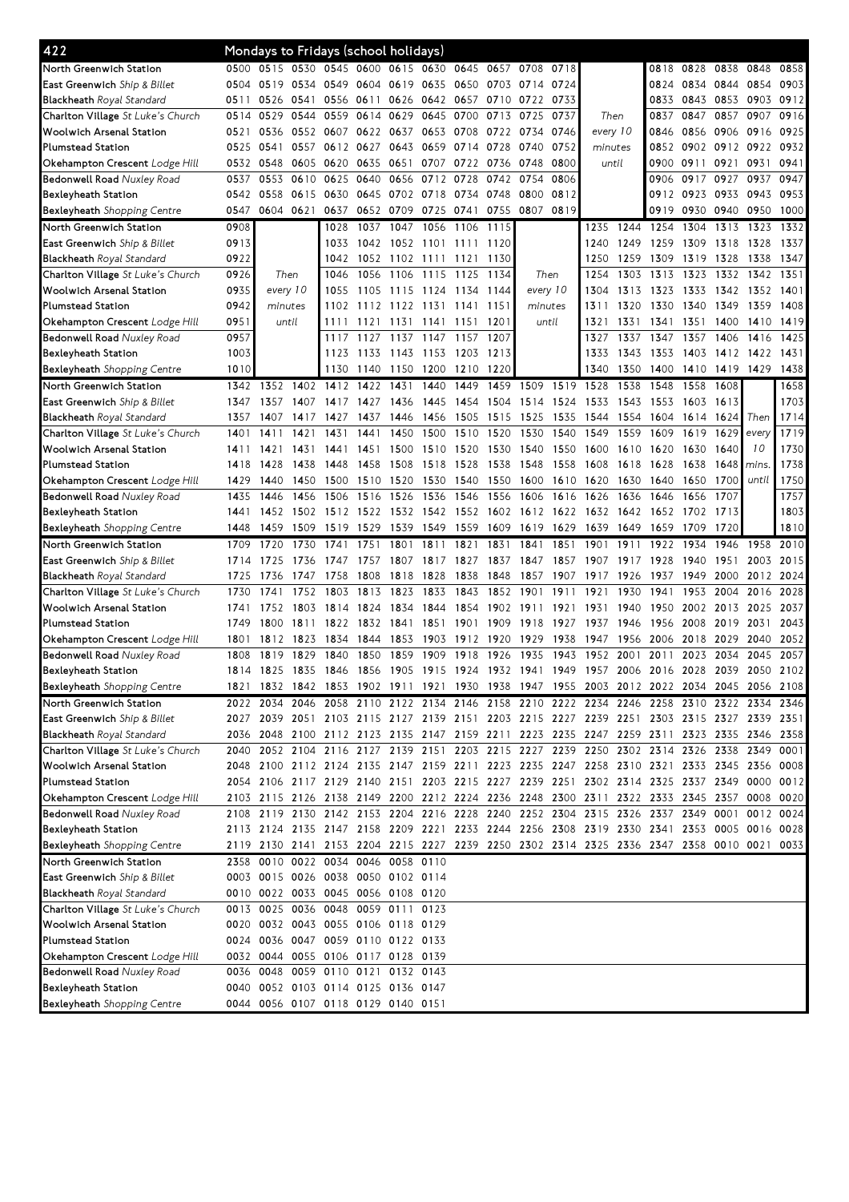| 422                                      | Mondays to Fridays (school holidays) |                |           |                                    |                |                |                |           |                |                                                                                           |           |          |          |                |                |              |           |           |
|------------------------------------------|--------------------------------------|----------------|-----------|------------------------------------|----------------|----------------|----------------|-----------|----------------|-------------------------------------------------------------------------------------------|-----------|----------|----------|----------------|----------------|--------------|-----------|-----------|
| North Greenwich Station                  | 0500                                 | 0515           |           | 0530 0545 0600                     |                |                | 0615 0630 0645 |           | 0657 0708      |                                                                                           | 0718      |          |          | 0818           | 0828 0838      |              | 0848      | 0858      |
| East Greenwich Ship & Billet             | 0504                                 | 0519           | 0534 0549 |                                    | 0604           | 0619 0635      |                |           | 0650 0703 0714 |                                                                                           | 0724      |          |          | 0824           | 0834 0844      |              | 0854      | 0903      |
| <b>Blackheath</b> Royal Standard         | 0511                                 | 0526           | 0541      | 0556                               | 0611           | 0626 0642      |                | 0657      | 0710           | 0722                                                                                      | 0733      |          |          | 0833           | 0843           | 0853         | 0903      | 0912      |
| Charlton Village St Luke's Church        | 0514                                 | 0529           | 0544      | 0559                               | 0614           | 0629 0645      |                | 0700      | 0713           | 0725                                                                                      | 0737      | Then     |          | 0837           | 0847           | 0857         | 0907      | 0916      |
| Woolwich Arsenal Station                 | 0521                                 | 0536           | 0552 0607 |                                    | 0622 0637      |                | 0653           | 0708      | 0722           | 0734                                                                                      | 0746      | every 10 |          | 0846           | 0856 0906      |              | 0916      | 0925      |
| Plumstead Station                        | 0525                                 | 0541           | 0557      | 0612                               | 0627           | 0643           | 0659           | 0714 0728 |                | 0740                                                                                      | 0752      | minutes  |          | 0852           | 0902 0912      |              | 0922      | 0932      |
| Okehampton Crescent Lodge Hill           | 0532                                 | 0548           |           | 0605 0620                          | 0635           | 0651           | 0707           | 0722      | 0736           | 0748                                                                                      | 0800      | until    |          | 0900           | 0911           | 0921         | 0931      | 0941      |
| <b>Bedonwell Road Nuxley Road</b>        | 0537                                 | 0553           | 0610      | 0625                               | 0640           | 0656           | 0712           | 0728      | 0742           | 0754                                                                                      | 0806      |          |          | 0906           | 0917           | 0927         | 0937      | 0947      |
| Bexleyheath Station                      | 0542                                 | 0558           | 0615 0630 |                                    | 0645           | 0702 0718      |                | 0734      | 0748           | 0800                                                                                      | 0812      |          |          | 0912           | 0923           | 0933         | 0943      | 0953      |
| <b>Bexleyheath</b> Shopping Centre       | 0547                                 | 0604           | 0621      | 0637                               |                | 0652 0709 0725 |                | 0741      | 0755           | 0807                                                                                      | 0819      |          |          | 0919           | 0930           | 0940         | 0950      | 1000      |
| North Greenwich Station                  | 0908                                 |                |           | 1028                               | 1037           | 1047           | 1056           | 1106      | 1115           |                                                                                           |           | 1235     | 1244     | 1254           | 1304           | 1313         | 1323      | 1332      |
| East Greenwich Ship & Billet             | 0913                                 |                |           | 1033                               |                | 1042 1052 1101 |                | 1111      | 1120           |                                                                                           |           | 1240     | 1249     | 1259           | 1309           | 1318         | 1328      | 1337      |
| <b>Blackheath</b> Royal Standard         | 0922                                 |                |           | 1042                               |                | 1052 1102 1111 |                | 1121      | 1130           |                                                                                           |           | 1250     | 1259     | 1309           | 1319           | 1328         | 1338      | 1347      |
| Charlton Village St Luke's Church        | 0926                                 | Then           |           | 1046                               | 1056           | 1106           | 1115           | 1125      | 1134           | Then                                                                                      |           | 1254     | 1303     | 1313           | 1323           | 1332         | 1342      | 1351      |
| Woolwich Arsenal Station                 | 0935                                 | every 10       |           | 1055                               | 1105           | 1115           | 1124           | 1134      | 1144           | every 10                                                                                  |           | 1304     | 1313     | 1323           | 1333           | 1342         | 1352      | 1401      |
| Plumstead Station                        | 0942                                 | minutes        |           | 1102                               |                | 1112 1122      | 1131           | 1141      | 1151           | minutes                                                                                   |           | 1311     | 1320     | 1330           | 1340           | 1349         | 1359      | 1408      |
| Okehampton Crescent <i>Lodge Hill</i>    | 0951                                 | until          |           | 1111                               | 1121           | 1131           | 1141           | 1151      | 1201           | until                                                                                     |           | 1321     | 1331     | 1341           | 1351           | 1400         | 1410      | 1419      |
| <b>Bedonwell Road</b> Nuxley Road        | 0957                                 |                |           | 1117                               | 1127           | 1137           | 1147           | 1157      | 1207           |                                                                                           |           | 1327     | 1337     | 1347           | 1357           | 1406         | 1416      | 1425      |
| Bexleyheath Station                      | 1003                                 |                |           | 1123                               |                | 1133 1143 1153 |                | 1203      | 1213           |                                                                                           |           | 1333     | 1343     | 1353           | 1403 1412 1422 |              |           | 1431      |
| <b>Bexleyheath</b> Shopping Centre       | 1010                                 |                |           | 1130                               |                | 1140 1150      | 1200           | 1210      | 1220           |                                                                                           |           | 1340     | 1350     | 1400           | 1410 1419      |              | 1429      | 1438      |
| North Greenwich Station                  | 1342                                 | 1352           | 1402      | 1412                               | 1422           | 1431           | 1440           | 1449      | 1459           | 1509                                                                                      | 1519      | 1528     | 1538     | 1548           | 1558           | 1608         |           | 1658      |
| <b>East Greenwich</b> Ship & Billet      | 1347                                 | 1357           | 1407      | 1417                               | 1427           | 1436           | 1445           | 1454      | 1504           | 1514                                                                                      | 1524      | 1533     | 1543     | 1553           | 1603           | 1613         |           | 1703      |
| <b>Blackheath</b> Royal Standard         | 1357                                 | 1407           | 1417      | 1427                               | 1437           | 1446           | 1456           | 1505      | 1515           | 1525                                                                                      | 1535      | 1544     | 1554     | 1604           | 1614           | 1624         | Then      | 1714      |
| Charlton Village St Luke's Church        | 1401                                 | 1411           | 1421      | 1431                               | 1441           | 1450           | 1500           | 1510      | 1520           | 1530                                                                                      | 1540      | 1549     | 1559     | 1609           | 1619           | $1629$ every |           | 1719      |
| Woolwich Arsenal Station                 | 1411                                 | 1421           | 1431      | 1441                               | 1451           | 1500           | 1510           | 1520      | 1530           | 1540                                                                                      | 1550      | 1600     | 1610     | 1620           | 1630           | 1640         | 10        | 1730      |
| <b>Plumstead Station</b>                 | 1418                                 | 1428           | 1438      | 1448                               | 1458           | 1508           | 1518           | 1528      | 1538           | 1548                                                                                      | 1558      | 1608     | 1618     | 1628           | 1638           | $1648$ mins  |           | 1738      |
| Okehampton Crescent Lodge Hill           | 1429                                 | 1440           |           | 1450 1500                          |                | 1510 1520      | 1530           | 1540      | 1550           | 1600                                                                                      | 1610 1620 |          | 1630     | 1640           | 1650           | 1700         | until     | 1750      |
| <b>Bedonwell Road Nuxley Road</b>        | 1435                                 | 1446           | 1456      | 1506                               | 1516           | 1526           | 1536           | 1546      | 1556           | 1606                                                                                      | 1616      | 1626     | 1636     | 1646           | 1656           | 1707         |           | 1757      |
| Bexleyheath Station                      | 1441                                 | 1452           | 1502      | 1512                               | 1522           | 1532           | 1542           |           | 1552 1602      | 1612                                                                                      | 1622      | 1632     | 1642     | 1652           | 1702           | 1713         |           | 1803      |
| <b>Bexleyheath</b> Shopping Centre       | 1448                                 | 1459           | 1509      | 1519                               | 1529           | 1539           | 1549           | 1559      | 1609           | 1619                                                                                      | 1629      | 1639     | 1649     | 1659           | 1709           | 1720         |           | 1810      |
|                                          |                                      |                |           |                                    |                |                |                |           |                |                                                                                           |           |          |          |                |                |              |           |           |
| North Greenwich Station                  | 1709                                 | 1720           | 1730      | 1741                               | 1751           | 1801           | 1811           | 1821      | 1831           | 1841                                                                                      | 1851      | 1901     | 1911     | 1922           | 1934           | 1946         | 1958      | 2010      |
| <b>East Greenwich</b> Ship & Billet      | 1714                                 | 1725           | 1736      | 1747                               | 1757           | 1807           | 1817           | 1827      | 1837           | 1847                                                                                      | 1857      | 1907     | 19<br>17 | 1928           | 1940           | 1951         | 2003      | 2015      |
| Blackheath Royal Standard                | 1725                                 | 1736           | 1747      | 1758                               | 1808           | 1818           | 1828           | 1838      | 1848           | 1857                                                                                      | 1907      | 1917     | 1926     | 1937           | 1949           | 2000         |           | 2012 2024 |
| Charlton Village St Luke's Church        | 1730                                 | 1741           | 1752      | 1803                               | 1813           | 1823           | 1833           | 1843      | 1852           | 1901                                                                                      | 1911      | 1921     | 1930     | 1941           | 1953           | 2004         | 2016      | 2028      |
| Woolwich Arsenal Station                 | 1741                                 | 1752           | 1803      | 1814                               | 1824           | 1834           | 1844           | 1854      | 1902           | 1911                                                                                      | 1921      | 1931     | 1940     | 1950           | 2002           | 2013         | 2025      | 2037      |
| <b>Plumstead Station</b>                 | 1749                                 | 1800           | 1811      | 1822                               |                | 1832 1841      | 1851           | 1901      | 1909           | 1918                                                                                      | 1927      | 1937     | 1946     | 1956           | 2008           | 2019         | 2031      | 2043      |
| Okehampton Crescent <i>Lodge Hill</i>    | 1801                                 | 1812           | 1823      | 1834                               | 1844           | 1853           | 1903           | 1912      | 1920           | 1929                                                                                      | 1938      | 1947     | 1956     | 2006           | 2018           | 2029         | 2040      | 2052      |
| Bedonwell Road Nuxley Road               | 1808                                 | 1819           | 1829      | 1840                               | 1850           | 1859           | 1909           | 1918      | 1926           | 1935                                                                                      | 1943      | 1952     | 2001     | 2011           | 2023           | 2034         | 2045      | 2057      |
| Bexleyheath Station                      | 1814                                 | 1825 1835 1846 |           |                                    | 1856 1905 1915 |                |                |           |                | 1924 1932 1941 1949 1957 2006                                                             |           |          |          | 2016 2028 2039 |                |              |           | 2050 2102 |
| Bexleyheath Shopping Centre              |                                      |                |           |                                    |                |                |                |           |                | 1821 1832 1842 1853 1902 1911 1921 1930 1938 1947 1955 2003 2012 2022 2034 2045 2056 2108 |           |          |          |                |                |              |           |           |
| North Greenwich Station                  |                                      |                |           |                                    |                |                |                |           |                | 2022 2034 2046 2058 2110 2122 2134 2146 2158 2210 2222 2234 2246 2258 2310 2322 2334 2346 |           |          |          |                |                |              |           |           |
| <b>East Greenwich</b> Ship & Billet      |                                      |                |           |                                    |                |                |                |           |                | 2027 2039 2051 2103 2115 2127 2139 2151 2203 2215 2227 2239 2251 2303 2315 2327 2339 2351 |           |          |          |                |                |              |           |           |
| <b>Blackheath</b> Royal Standard         |                                      |                |           |                                    |                |                |                |           |                | 2036 2048 2100 2112 2123 2135 2147 2159 2211 2223 2235 2247 2259 2311 2323 2335 2346 2358 |           |          |          |                |                |              |           |           |
| Charlton Village St Luke's Church        | 2040                                 |                |           |                                    |                |                |                |           |                | 2052 2104 2116 2127 2139 2151 2203 2215 2227 2239 2250 2302 2314 2326 2338                |           |          |          |                |                |              | 2349      | 0001      |
| Woolwich Arsenal Station                 |                                      |                |           |                                    |                |                |                |           |                | 2048 2100 2112 2124 2135 2147 2159 2211 2223 2235 2247 2258 2310 2321 2333 2345 2356 0008 |           |          |          |                |                |              |           |           |
| Plumstead Station                        |                                      |                |           |                                    |                |                |                |           |                | 2054 2106 2117 2129 2140 2151 2203 2215 2227 2239 2251 2302 2314 2325 2337 2349 0000 0012 |           |          |          |                |                |              |           |           |
| Okehampton Crescent Lodge Hill           |                                      |                |           |                                    |                |                |                |           |                | 2103 2115 2126 2138 2149 2200 2212 2224 2236 2248 2300 2311 2322 2333 2345 2357 0008 0020 |           |          |          |                |                |              |           |           |
| <b>Bedonwell Road Nuxley Road</b>        |                                      |                |           |                                    |                |                |                |           |                | 2108 2119 2130 2142 2153 2204 2216 2228 2240 2252 2304 2315 2326 2337 2349 0001           |           |          |          |                |                |              | 0012 0024 |           |
| Bexleyheath Station                      |                                      |                |           |                                    |                |                |                |           |                | 2113 2124 2135 2147 2158 2209 2221 2233 2244 2256 2308 2319 2330 2341 2353 0005 0016 0028 |           |          |          |                |                |              |           |           |
| <b>Bexleyheath</b> Shopping Centre       |                                      |                |           |                                    |                |                |                |           |                | 2119 2130 2141 2153 2204 2215 2227 2239 2250 2302 2314 2325 2336 2347 2358 0010 0021 0033 |           |          |          |                |                |              |           |           |
| North Greenwich Station                  |                                      |                |           | 2358 0010 0022 0034 0046 0058 0110 |                |                |                |           |                |                                                                                           |           |          |          |                |                |              |           |           |
| <b>East Greenwich</b> Ship & Billet      |                                      |                |           | 0003 0015 0026 0038 0050 0102 0114 |                |                |                |           |                |                                                                                           |           |          |          |                |                |              |           |           |
| <b>Blackheath</b> Royal Standard         |                                      |                |           | 0010 0022 0033 0045 0056 0108 0120 |                |                |                |           |                |                                                                                           |           |          |          |                |                |              |           |           |
| <b>Charlton Village</b> St Luke's Church |                                      |                |           | 0013 0025 0036 0048 0059 0111 0123 |                |                |                |           |                |                                                                                           |           |          |          |                |                |              |           |           |
| Woolwich Arsenal Station                 |                                      |                |           | 0020 0032 0043 0055 0106 0118 0129 |                |                |                |           |                |                                                                                           |           |          |          |                |                |              |           |           |
| <b>Plumstead Station</b>                 |                                      |                |           | 0024 0036 0047 0059 0110 0122 0133 |                |                |                |           |                |                                                                                           |           |          |          |                |                |              |           |           |
| Okehampton Crescent Lodge Hill           |                                      |                |           | 0032 0044 0055 0106 0117 0128 0139 |                |                |                |           |                |                                                                                           |           |          |          |                |                |              |           |           |
| Bedonwell Road Nuxley Road               |                                      |                |           | 0036 0048 0059 0110 0121 0132 0143 |                |                |                |           |                |                                                                                           |           |          |          |                |                |              |           |           |
| Bexleyheath Station                      |                                      |                |           | 0040 0052 0103 0114 0125 0136 0147 |                |                |                |           |                |                                                                                           |           |          |          |                |                |              |           |           |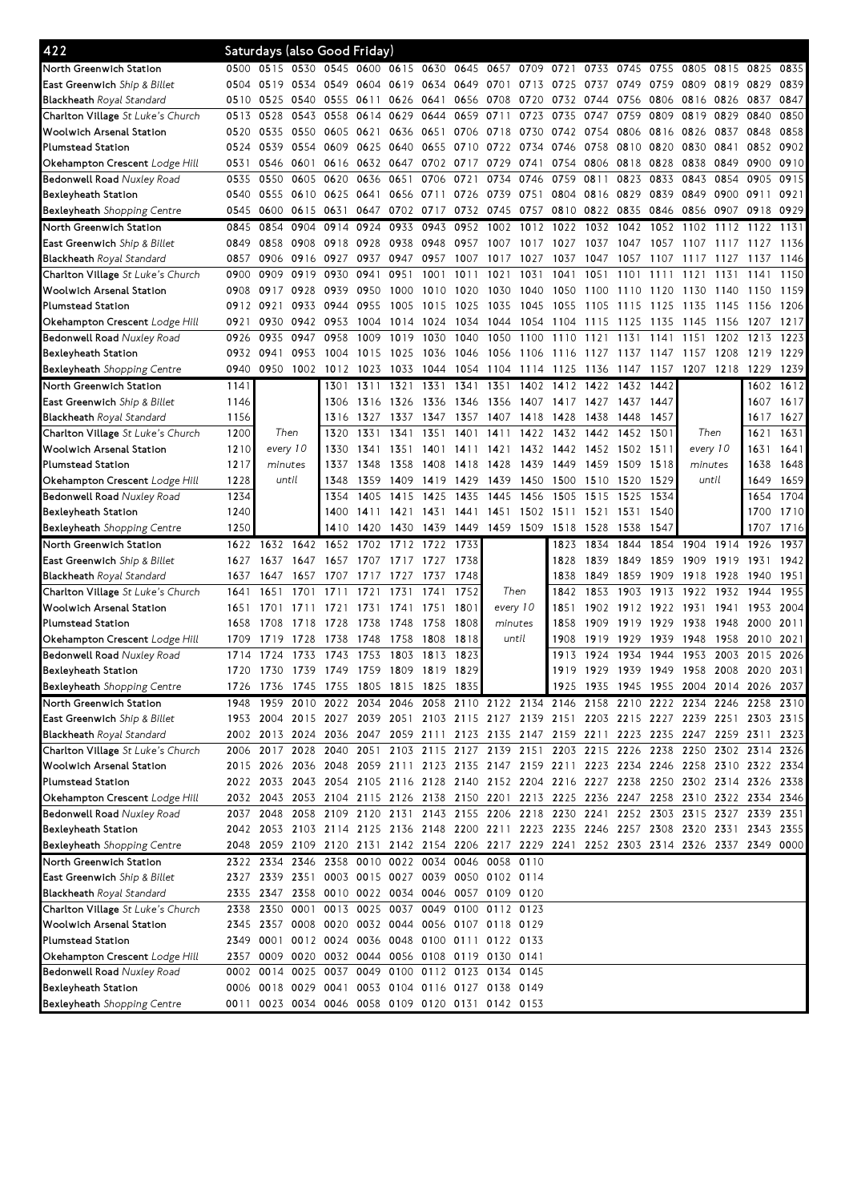| 422                                                                   |      | Saturdays (also Good Friday)                                                                           |              |                                                                            |      |                |                |           |           |           |           |           |                |      |                                         |                |      |      |
|-----------------------------------------------------------------------|------|--------------------------------------------------------------------------------------------------------|--------------|----------------------------------------------------------------------------|------|----------------|----------------|-----------|-----------|-----------|-----------|-----------|----------------|------|-----------------------------------------|----------------|------|------|
| North Greenwich Station                                               | 0500 | 0515                                                                                                   |              | 0530 0545 0600                                                             |      |                | 0615 0630 0645 |           | 0657      | 0709      | 0721      | 0733      | 0745           | 0755 | 0805                                    | 0815           | 0825 | 0835 |
| East Greenwich Ship & Billet                                          | 0504 | 0519                                                                                                   | 0534 0549    |                                                                            | 0604 | 0619           | 0634           | 0649      | 0701      | 0713      | 0725      | 0737      | 0749           | 0759 | 0809                                    | 0819           | 0829 | 0839 |
| <b>Blackheath</b> Royal Standard                                      | 0510 | 0525                                                                                                   | 0540 0555    |                                                                            | 0611 | 0626           | 0641           | 0656 0708 |           | 0720      | 0732      | 0744      | 0756           | 0806 | 0816                                    | 0826           | 0837 | 0847 |
| <b>Charlton Village</b> St Luke's Church                              | 0513 | 0528                                                                                                   | 0543         | 0558                                                                       | 0614 | 0629           | 0644           | 0659      | 0711      | 0723      | 0735      | 0747      | 0759           | 0809 | 0819                                    | 0829           | 0840 | 0850 |
| Woolwich Arsenal Station                                              | 0520 | 0535                                                                                                   | 0550 0605    |                                                                            | 0621 | 0636 0651      |                | 0706 0718 |           | 0730      | 0742 0754 |           | 0806           | 0816 | 0826                                    | 0837           | 0848 | 0858 |
| <b>Plumstead Station</b>                                              | 0524 | 0539                                                                                                   |              | 0554 0609                                                                  | 0625 | 0640           | 0655           | 0710 0722 |           | 0734      | 0746      | 0758      | 0810           | 0820 | 0830                                    | 0841           | 0852 | 0902 |
| Okehampton Crescent <i>Lodge Hill</i>                                 | 0531 | 0546                                                                                                   | 0601         | 0616                                                                       | 0632 | 0647           | 0702           | 0717      | 0729      | 0741      | 0754      | 0806      | 0818           | 0828 | 0838                                    | 0849           | 0900 | 0910 |
| Bedonwell Road Nuxley Road                                            | 0535 | 0550                                                                                                   | 0605 0620    |                                                                            | 0636 | 0651           | 0706           | 0721      | 0734      | 0746      | 0759      | 0811      | 0823           | 0833 | 0843                                    | 0854           | 0905 | 0915 |
| Bexleyheath Station                                                   | 0540 | 0555                                                                                                   | 0610 0625    |                                                                            | 0641 | 0656 0711      |                | 0726      | 0739      | 0751      | 0804      | 0816      | 0829           | 0839 | 0849                                    | 0900           | 0911 | 0921 |
| <b>Bexleyheath</b> Shopping Centre                                    | 0545 | 0600                                                                                                   | 0615 0631    |                                                                            |      | 0647 0702 0717 |                | 0732      | 0745      | 0757      | 0810      | 0822      | 0835           | 0846 | 0856 0907                               |                | 0918 | 0929 |
| North Greenwich Station                                               | 0845 | 0854                                                                                                   | 0904         | 0914                                                                       | 0924 | 0933           | 0943           | 0952      | 1002      | 1012      | 1022      | 1032      | 1042           | 1052 | 1102                                    | 1112           | 1122 | 1131 |
| East Greenwich Ship & Billet                                          | 0849 | 0858                                                                                                   | 0908 0918    |                                                                            | 0928 | 0938           | 0948           | 0957 1007 |           | 1017      | 1027      | 1037      | 1047           | 1057 | 1107                                    | 1117           | 1127 | 1136 |
|                                                                       | 0857 | 0906                                                                                                   | 0916 0927    |                                                                            | 0937 | 0947           | 0957           | 1007      | 1017      | 1027      | 1037      | 1047      | 1057           | 1107 | 1117                                    | 1127           | 1137 | 1146 |
| <b>Blackheath</b> Royal Standard<br>Charlton Village St Luke's Church | 0900 | 0909                                                                                                   | 0919         | 0930                                                                       | 0941 | 0951           | 1001           | 1011      | 1021      | 1031      | 1041      | 1051      | 1101           | 1111 | 1121                                    | 1131           | 1141 | 1150 |
|                                                                       | 0908 | 0917                                                                                                   | 0928         | 0939                                                                       | 0950 | 1000           | 1010           | 1020      | 1030      | 1040      | 1050      | 1100      |                |      | 1130                                    | 1140           | 1150 | 1159 |
| Woolwich Arsenal Station                                              |      |                                                                                                        |              |                                                                            |      |                |                |           |           |           |           |           | 1110           | 1120 |                                         |                |      |      |
| <b>Plumstead Station</b>                                              | 0912 | 0921                                                                                                   | 0933         | 0944                                                                       | 0955 | 1005           | 1015           | 1025      | 1035      | 1045      | 1055      | 1105      | 1115           | 1125 | 1135                                    | 1145           | 1156 | 1206 |
| Okehampton Crescent Lodge Hill                                        | 0921 | 0930                                                                                                   | 0942<br>0947 | 0953                                                                       | 1004 | 1014           | 1024           | 1034      | 1044      | 1054      | 1104      | 1115      | 1125           | 1135 | 1145                                    | 1156           | 1207 | 1217 |
| <b>Bedonwell Road Nuxley Road</b>                                     | 0926 | 0935                                                                                                   |              | 0958                                                                       | 1009 | 1019           | 1030           | 1040      | 1050      | 1100      | 1110      | 1121      | 1131           | 1141 | 1151                                    | 1202           | 1213 | 1223 |
| Bexleyheath Station                                                   | 0932 | 0941                                                                                                   | 0953         | 1004                                                                       | 1015 | 1025           | 1036           | 1046      | 1056      | 1106      | 1116 1127 |           | 1137           | 1147 | 1157                                    | 1208           | 1219 | 1229 |
| Bexleyheath Shopping Centre                                           | 0940 | 0950                                                                                                   | 1002 1012    |                                                                            | 1023 | 1033           | 1044           |           | 1054 1104 | 1114 1125 |           |           | 1136 1147 1157 |      |                                         | 1207 1218 1229 |      | 1239 |
| North Greenwich Station                                               | 1141 |                                                                                                        |              | 1301                                                                       | 1311 | 1321           | 1331           | 1341      | 1351      | 1402      | 1412      | 1422      | 1432           | 1442 |                                         |                | 1602 | 1612 |
| East Greenwich Ship & Billet                                          | 1146 |                                                                                                        |              | 1306                                                                       | 1316 | 1326           | 1336           | 1346      | 1356      | 1407      | 1417      | 1427      | 1437           | 1447 |                                         |                | 1607 | 1617 |
| <b>Blackheath Royal Standard</b>                                      | 1156 |                                                                                                        |              | 1316                                                                       | 1327 | 1337           | 1347           | 1357      | 1407      | 1418      | 1428      | 1438      | 1448           | 1457 |                                         |                | 1617 | 1627 |
| Charlton Village St Luke's Church                                     | 1200 | Then                                                                                                   |              | 1320                                                                       | 1331 | 1341           | 1351           | 1401      | 1411      | 1422      | 1432      | 1442      | 1452           | 1501 | Then                                    |                | 1621 | 1631 |
| Woolwich Arsenal Station                                              | 1210 | every 10                                                                                               |              | 1330                                                                       | 1341 | 1351           | 1401           | 1411      | 1421      | 1432      | 1442      | 1452      | 1502           | 1511 | every 10                                |                | 1631 | 1641 |
| Plumstead Station                                                     | 1217 | minutes                                                                                                |              | 1337                                                                       | 1348 | 1358           | 1408           | 1418      | 1428      | 1439      | 1449      | 1459      | 1509           | 1518 | minutes                                 |                | 1638 | 1648 |
| Okehampton Crescent Lodge Hill                                        | 1228 | until                                                                                                  |              | 1348                                                                       | 1359 | 1409           | 1419           | 1429      | 1439      | 1450      | 1500      | 1510      | 1520           | 1529 | until                                   |                | 1649 | 1659 |
| <b>Bedonwell Road Nuxley Road</b>                                     | 1234 |                                                                                                        |              | 1354                                                                       | 1405 | 1415           | 1425           | 1435      | 1445      | 1456      | 1505      | 1515      | 1525           | 1534 |                                         |                | 1654 | 1704 |
| Bexleyheath Station                                                   | 1240 |                                                                                                        |              | 1400                                                                       | 1411 | 1421           | 1431           | 1441      | 1451      | 1502      | 1511      | 1521      | 1531           | 1540 |                                         |                | 1700 | 1710 |
| Bexleyheath Shopping Centre                                           | 1250 |                                                                                                        |              | 1410                                                                       | 1420 | 1430           | 1439           | 1449      | 1459 1509 |           | 1518      | 1528      | 1538           | 1547 |                                         |                | 1707 | 1716 |
| North Greenwich Station                                               | 1622 | 1632                                                                                                   | 1642         | 1652                                                                       | 1702 | 1712           | 1722           | 1733      |           |           | 1823      | 1834      | 1844           | 1854 | 1904                                    | 1914           | 1926 | 1937 |
| <b>East Greenwich</b> Ship & Billet                                   | 1627 | 1637                                                                                                   | 1647         | 1657                                                                       |      | 1707 1717 1727 |                | 1738      |           |           | 1828      | 1839      | 1849           | 1859 | 1909                                    | 1919           | 1931 | 1942 |
|                                                                       |      |                                                                                                        |              |                                                                            |      |                |                |           |           |           |           |           |                |      |                                         |                |      |      |
| Blackheath Royal Standard                                             | 1637 | 1647                                                                                                   | 1657         | 1707                                                                       | 1717 | 1727           | 1737           | 1748      |           |           | 1838      | 1849      | 1859           | 1909 | 1918                                    | 1928           | 1940 | 1951 |
| Charlton Village St Luke's Church                                     | 1641 | 1651                                                                                                   | 1701         | 1711                                                                       | 1721 | 1731           | 1741           | 1752      | Then      |           | 1842      | 1853      | 1903           | 1913 | 1922                                    | 1932           | 1944 | 1955 |
| <b>Woolwich Arsenal Station</b>                                       | 1651 | 1701                                                                                                   | 1711         | 1721                                                                       | 1731 | 1741           | 1751           | 1801      | every 10  |           | 1851      | 1902      | 1912           | 1922 | 1931                                    | 1941           | 1953 | 2004 |
| Plumstead Station                                                     | 1658 | 1708                                                                                                   | 1718         | 1728                                                                       | 1738 | 1748           | 1758           | 1808      | minutes   |           | 1858      | 1909      | 1919           | 1929 | 1938                                    | 1948           | 2000 | 2011 |
| Okehampton Crescent <i>Lodge Hill</i>                                 | 1709 | 1719                                                                                                   | 1728         | 1738                                                                       | 1748 | 1758           | 1808           | 1818      | until     |           | 1908      | 1919      | 1929           | 1939 | 1948                                    | 1958           | 2010 | 2021 |
| <b>Bedonwell Road Nuxley Road</b>                                     | 1714 | 1724                                                                                                   | 1733         | 1743                                                                       | 1753 | 1803           | 1813           | 1823      |           |           | 1913      | 1924      | 1934           | 1944 | 1953                                    | 2003           | 2015 | 2026 |
| Bexleyheath Station                                                   | 1720 | 1730 1739 1749 1759 1809 1819                                                                          |              |                                                                            |      |                |                | 1829      |           |           |           | 1919 1929 |                |      | 1939 1949 1958 2008 2020 2031           |                |      |      |
| Bexleyheath Shopping Centre                                           | 1726 |                                                                                                        |              | 1736 1745 1755 1805 1815 1825 1835                                         |      |                |                |           |           |           |           |           |                |      | 1925 1935 1945 1955 2004 2014 2026 2037 |                |      |      |
| North Greenwich Station                                               | 1948 | 1959 2010 2022 2034 2046 2058 2110 2122 2134 2146 2158 2210 2222 2234 2246 2258 2310                   |              |                                                                            |      |                |                |           |           |           |           |           |                |      |                                         |                |      |      |
| East Greenwich Ship & Billet                                          |      | 1953 2004 2015 2027 2039 2051 2103 2115 2127 2139 2151 2203 2215 2227 2239 2251 2303 2315              |              |                                                                            |      |                |                |           |           |           |           |           |                |      |                                         |                |      |      |
| <b>Blackheath</b> Royal Standard                                      |      | 2002 2013 2024 2036 2047 2059 2111 2123 2135 2147 2159 2211 2223 2235 2247 2259 2311                   |              |                                                                            |      |                |                |           |           |           |           |           |                |      |                                         |                |      | 2323 |
| <b>Charlton Village</b> St Luke's Church                              |      | 2006 2017 2028 2040 2051 2103 2115 2127 2139 2151 2203 2215 2226 2238 2250 2302 2314 2326              |              |                                                                            |      |                |                |           |           |           |           |           |                |      |                                         |                |      |      |
| Woolwich Arsenal Station                                              |      | 2015 2026 2036 2048 2059 2111 2123 2135 2147 2159 2211 2223 2234 2246 2258 2310 2322 2334              |              |                                                                            |      |                |                |           |           |           |           |           |                |      |                                         |                |      |      |
| Plumstead Station                                                     |      | 2022 2033 2043 2054 2105 2116 2128 2140 2152 2204 2216 2227 2238 2250 2302 2314 2326 2338              |              |                                                                            |      |                |                |           |           |           |           |           |                |      |                                         |                |      |      |
| Okehampton Crescent Lodge Hill                                        |      | 2032 2043 2053 2104 2115 2126 2138 2150 2201 2213 2225 2236 2247 2258 2310 2322 2334 2346              |              |                                                                            |      |                |                |           |           |           |           |           |                |      |                                         |                |      |      |
| <b>Bedonwell Road Nuxley Road</b>                                     |      | 2037 2048                                                                                              |              | 2058 2109 2120 2131 2143 2155 2206 2218 2230 2241 2252 2303 2315 2327 2339 |      |                |                |           |           |           |           |           |                |      |                                         |                |      | 2351 |
| Bexleyheath Station                                                   |      | 2042 2053 2103 2114 2125 2136 2148 2200 2211 2223 2235 2246 2257 2308 2320 2331 2343 2355              |              |                                                                            |      |                |                |           |           |           |           |           |                |      |                                         |                |      |      |
| <b>Bexleyheath</b> Shopping Centre                                    | 2048 | 2059 2109 2120 2131 2142 2154 2206 2217 2229 2241 2252 2303 2314 2326 2337 2349 0000                   |              |                                                                            |      |                |                |           |           |           |           |           |                |      |                                         |                |      |      |
| North Greenwich Station                                               |      | 2322 2334 2346 2358 0010 0022 0034 0046 0058 0110                                                      |              |                                                                            |      |                |                |           |           |           |           |           |                |      |                                         |                |      |      |
|                                                                       |      | 2327 2339 2351 0003 0015 0027 0039 0050 0102 0114                                                      |              |                                                                            |      |                |                |           |           |           |           |           |                |      |                                         |                |      |      |
| East Greenwich Ship & Billet<br><b>Blackheath</b> Royal Standard      |      | 2335 2347 2358 0010 0022 0034 0046 0057 0109 0120                                                      |              |                                                                            |      |                |                |           |           |           |           |           |                |      |                                         |                |      |      |
|                                                                       |      | 2338 2350 0001 0013 0025 0037 0049 0100 0112 0123                                                      |              |                                                                            |      |                |                |           |           |           |           |           |                |      |                                         |                |      |      |
| <b>Charlton Village</b> St Luke's Church<br>Woolwich Arsenal Station  |      | 2345 2357 0008 0020 0032 0044 0056 0107 0118 0129                                                      |              |                                                                            |      |                |                |           |           |           |           |           |                |      |                                         |                |      |      |
| Plumstead Station                                                     |      | 2349 0001 0012 0024 0036 0048 0100 0111 0122 0133                                                      |              |                                                                            |      |                |                |           |           |           |           |           |                |      |                                         |                |      |      |
|                                                                       |      |                                                                                                        |              |                                                                            |      |                |                |           |           |           |           |           |                |      |                                         |                |      |      |
| Okehampton Crescent <i>Lodge Hill</i>                                 |      | 2357 0009 0020 0032 0044 0056 0108 0119 0130 0141                                                      |              |                                                                            |      |                |                |           |           |           |           |           |                |      |                                         |                |      |      |
| <b>Bedonwell Road</b> Nuxley Road                                     |      | 0002 0014                                                                                              |              | 0025 0037 0049 0100 0112 0123 0134 0145                                    |      |                |                |           |           |           |           |           |                |      |                                         |                |      |      |
| Bexleyheath Station<br>Bexleyheath Shopping Centre                    |      | 0006 0018 0029 0041 0053 0104 0116 0127 0138 0149<br>0011 0023 0034 0046 0058 0109 0120 0131 0142 0153 |              |                                                                            |      |                |                |           |           |           |           |           |                |      |                                         |                |      |      |